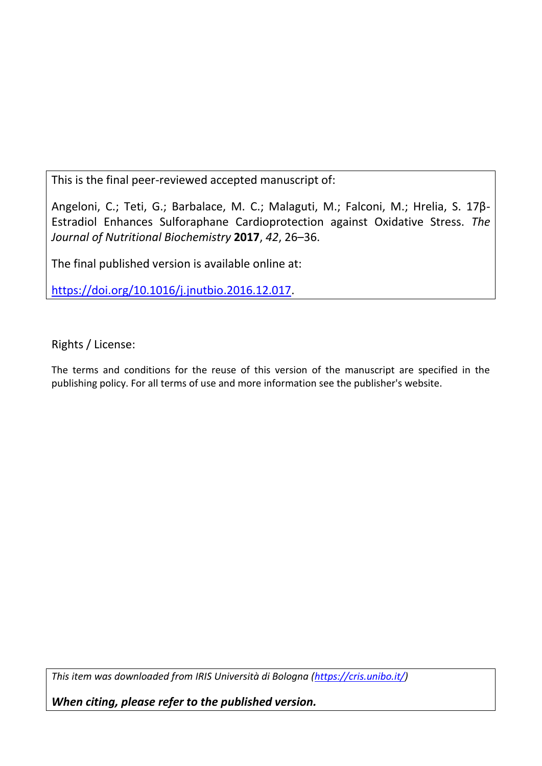This is the final peer-reviewed accepted manuscript of:

Angeloni, C.; Teti, G.; Barbalace, M. C.; Malaguti, M.; Falconi, M.; Hrelia, S. 17β-Estradiol Enhances Sulforaphane Cardioprotection against Oxidative Stress. *The Journal of Nutritional Biochemistry* **2017**, *42*, 26–36.

The final published version is available online at:

[https://doi.org/10.1016/j.jnutbio.2016.12.017.](https://doi.org/10.1016/j.jnutbio.2016.12.017)

Rights / License:

The terms and conditions for the reuse of this version of the manuscript are specified in the publishing policy. For all terms of use and more information see the publisher's website.

*This item was downloaded from IRIS Università di Bologna [\(https://cris.unibo.it/\)](https://cris.unibo.it/)*

*When citing, please refer to the published version.*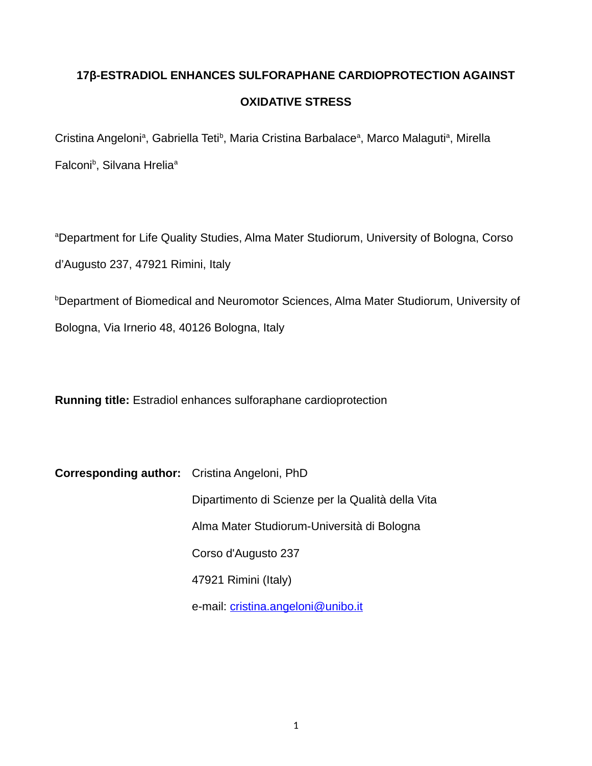# **17β-ESTRADIOL ENHANCES SULFORAPHANE CARDIOPROTECTION AGAINST OXIDATIVE STRESS**

Cristina Angeloni<sup>a</sup>, Gabriella Teti<sup>b</sup>, Maria Cristina Barbalace<sup>a</sup>, Marco Malaguti<sup>a</sup>, Mirella Falconi<sup>b</sup>, Silvana Hrelia<sup>a</sup>

aDepartment for Life Quality Studies, Alma Mater Studiorum, University of Bologna, Corso d'Augusto 237, 47921 Rimini, Italy

**Department of Biomedical and Neuromotor Sciences, Alma Mater Studiorum, University of** Bologna, Via Irnerio 48, 40126 Bologna, Italy

**Running title:** Estradiol enhances sulforaphane cardioprotection

**Corresponding author:** Cristina Angeloni, PhD

Dipartimento di Scienze per la Qualità della Vita Alma Mater Studiorum-Università di Bologna Corso d'Augusto 237 47921 Rimini (Italy)

e-mail: [cristina.angeloni@unibo.it](mailto:cristina.angeloni@unibo.it)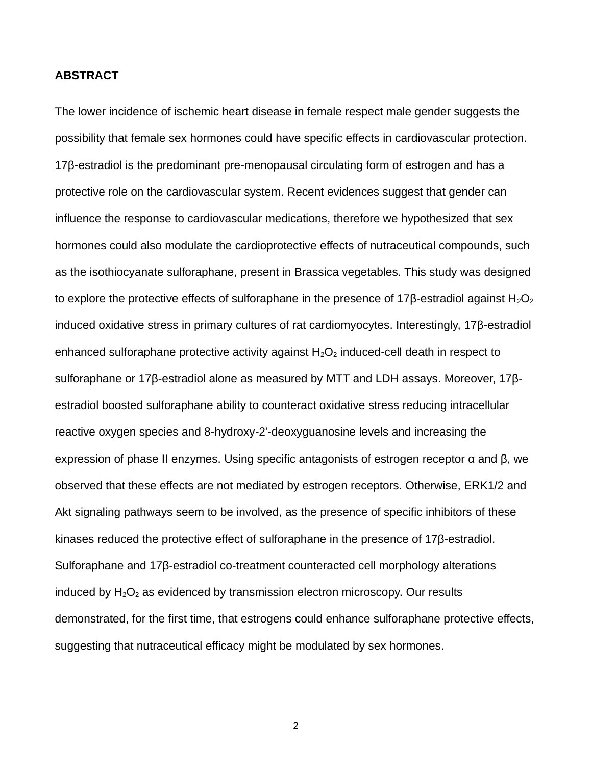## **ABSTRACT**

The lower incidence of ischemic heart disease in female respect male gender suggests the possibility that female sex hormones could have specific effects in cardiovascular protection. 17β-estradiol is the predominant pre-menopausal circulating form of estrogen and has a protective role on the cardiovascular system. Recent evidences suggest that gender can influence the response to cardiovascular medications, therefore we hypothesized that sex hormones could also modulate the cardioprotective effects of nutraceutical compounds, such as the isothiocyanate sulforaphane, present in Brassica vegetables. This study was designed to explore the protective effects of sulforaphane in the presence of 17β-estradiol against  $H_2O_2$ induced oxidative stress in primary cultures of rat cardiomyocytes. Interestingly, 17β-estradiol enhanced sulforaphane protective activity against  $H_2O_2$  induced-cell death in respect to sulforaphane or 17β-estradiol alone as measured by MTT and LDH assays. Moreover, 17βestradiol boosted sulforaphane ability to counteract oxidative stress reducing intracellular reactive oxygen species and 8-hydroxy-2'-deoxyguanosine levels and increasing the expression of phase II enzymes. Using specific antagonists of estrogen receptor α and β, we observed that these effects are not mediated by estrogen receptors. Otherwise, ERK1/2 and Akt signaling pathways seem to be involved, as the presence of specific inhibitors of these kinases reduced the protective effect of sulforaphane in the presence of 17β-estradiol. Sulforaphane and 17β-estradiol co-treatment counteracted cell morphology alterations induced by  $H_2O_2$  as evidenced by transmission electron microscopy. Our results demonstrated, for the first time, that estrogens could enhance sulforaphane protective effects, suggesting that nutraceutical efficacy might be modulated by sex hormones.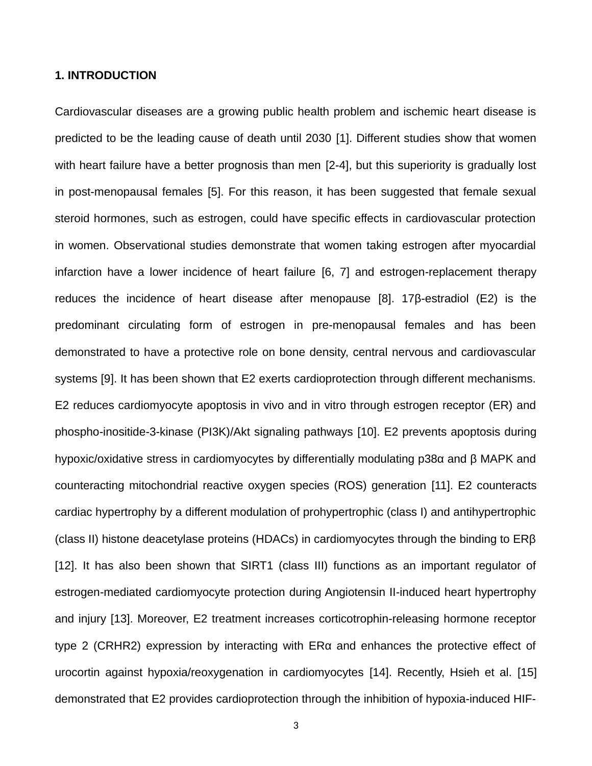## **1. INTRODUCTION**

Cardiovascular diseases are a growing public health problem and ischemic heart disease is predicted to be the leading cause of death until 2030 [1]. Different studies show that women with heart failure have a better prognosis than men [2-4], but this superiority is gradually lost in post-menopausal females [5]. For this reason, it has been suggested that female sexual steroid hormones, such as estrogen, could have specific effects in cardiovascular protection in women. Observational studies demonstrate that women taking estrogen after myocardial infarction have a lower incidence of heart failure [6, 7] and estrogen-replacement therapy reduces the incidence of heart disease after menopause [8]. 17β-estradiol (E2) is the predominant circulating form of estrogen in pre-menopausal females and has been demonstrated to have a protective role on bone density, central nervous and cardiovascular systems [9]. It has been shown that E2 exerts cardioprotection through different mechanisms. E2 reduces cardiomyocyte apoptosis in vivo and in vitro through estrogen receptor (ER) and phospho-inositide-3-kinase (PI3K)/Akt signaling pathways [10]. E2 prevents apoptosis during hypoxic/oxidative stress in cardiomyocytes by differentially modulating p38α and β MAPK and counteracting mitochondrial reactive oxygen species (ROS) generation [11]. E2 counteracts cardiac hypertrophy by a different modulation of prohypertrophic (class I) and antihypertrophic (class II) histone deacetylase proteins (HDACs) in cardiomyocytes through the binding to ERβ [12]. It has also been shown that SIRT1 (class III) functions as an important regulator of estrogen-mediated cardiomyocyte protection during Angiotensin II-induced heart hypertrophy and injury [13]. Moreover, E2 treatment increases corticotrophin-releasing hormone receptor type 2 (CRHR2) expression by interacting with ERα and enhances the protective effect of urocortin against hypoxia/reoxygenation in cardiomyocytes [14]. Recently, Hsieh et al. [15] demonstrated that E2 provides cardioprotection through the inhibition of hypoxia-induced HIF-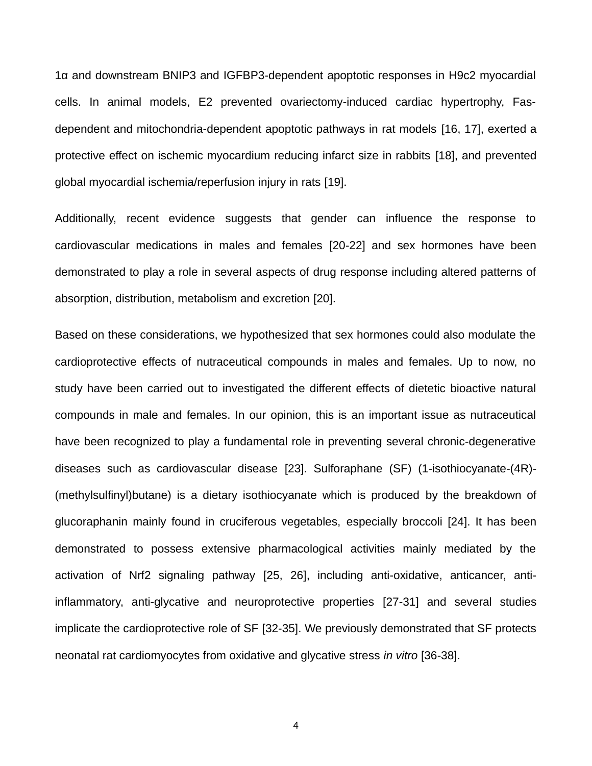1α and downstream BNIP3 and IGFBP3-dependent apoptotic responses in H9c2 myocardial cells. In animal models, E2 prevented ovariectomy-induced cardiac hypertrophy, Fasdependent and mitochondria-dependent apoptotic pathways in rat models [16, 17], exerted a protective effect on ischemic myocardium reducing infarct size in rabbits [18], and prevented global myocardial ischemia/reperfusion injury in rats [19].

Additionally, recent evidence suggests that gender can influence the response to cardiovascular medications in males and females [20-22] and sex hormones have been demonstrated to play a role in several aspects of drug response including altered patterns of absorption, distribution, metabolism and excretion [20].

Based on these considerations, we hypothesized that sex hormones could also modulate the cardioprotective effects of nutraceutical compounds in males and females. Up to now, no study have been carried out to investigated the different effects of dietetic bioactive natural compounds in male and females. In our opinion, this is an important issue as nutraceutical have been recognized to play a fundamental role in preventing several chronic-degenerative diseases such as cardiovascular disease [23]. Sulforaphane (SF) (1-isothiocyanate-(4R)- (methylsulfinyl)butane) is a dietary isothiocyanate which is produced by the breakdown of glucoraphanin mainly found in cruciferous vegetables, especially broccoli [24]. It has been demonstrated to possess extensive pharmacological activities mainly mediated by the activation of Nrf2 signaling pathway [25, 26], including anti-oxidative, anticancer, antiinflammatory, anti-glycative and neuroprotective properties [27-31] and several studies implicate the cardioprotective role of SF [32-35]. We previously demonstrated that SF protects neonatal rat cardiomyocytes from oxidative and glycative stress *in vitro* [36-38].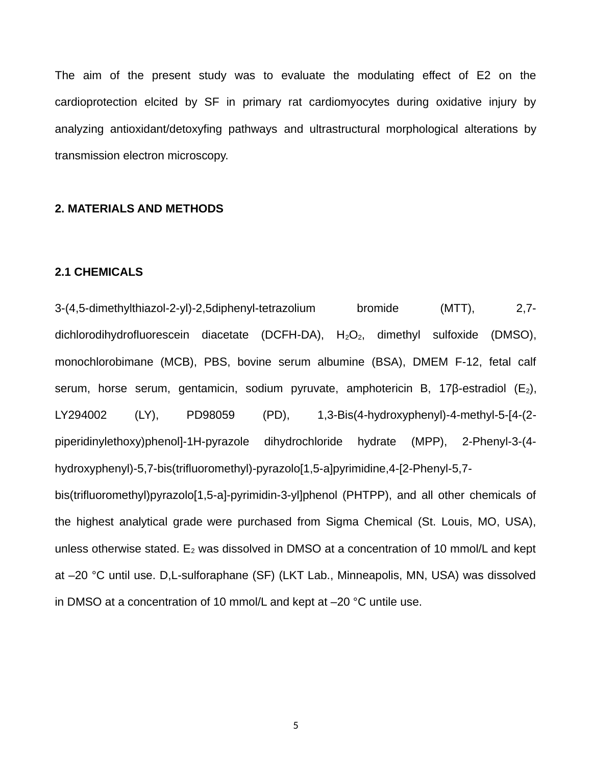The aim of the present study was to evaluate the modulating effect of E2 on the cardioprotection elcited by SF in primary rat cardiomyocytes during oxidative injury by analyzing antioxidant/detoxyfing pathways and ultrastructural morphological alterations by transmission electron microscopy.

## **2. MATERIALS AND METHODS**

# **2.1 CHEMICALS**

3-(4,5-dimethylthiazol-2-yl)-2,5diphenyl-tetrazolium bromide (MTT), 2,7 dichlorodihydrofluorescein diacetate (DCFH-DA),  $H_2O_2$ , dimethyl sulfoxide (DMSO), monochlorobimane (MCB), PBS, bovine serum albumine (BSA), DMEM F-12, fetal calf serum, horse serum, gentamicin, sodium pyruvate, amphotericin B, 17 $\beta$ -estradiol (E<sub>2</sub>), LY294002 (LY), PD98059 (PD), 1,3-Bis(4-hydroxyphenyl)-4-methyl-5-[4-(2 piperidinylethoxy)phenol]-1H-pyrazole dihydrochloride hydrate (MPP), 2-Phenyl-3-(4 hydroxyphenyl)-5,7-bis(trifluoromethyl)-pyrazolo[1,5-a]pyrimidine,4-[2-Phenyl-5,7 bis(trifluoromethyl)pyrazolo[1,5-a]-pyrimidin-3-yl]phenol (PHTPP), and all other chemicals of

the highest analytical grade were purchased from Sigma Chemical (St. Louis, MO, USA), unless otherwise stated.  $E_2$  was dissolved in DMSO at a concentration of 10 mmol/L and kept at –20 °C until use. D,L-sulforaphane (SF) (LKT Lab., Minneapolis, MN, USA) was dissolved in DMSO at a concentration of 10 mmol/L and kept at –20 °C untile use.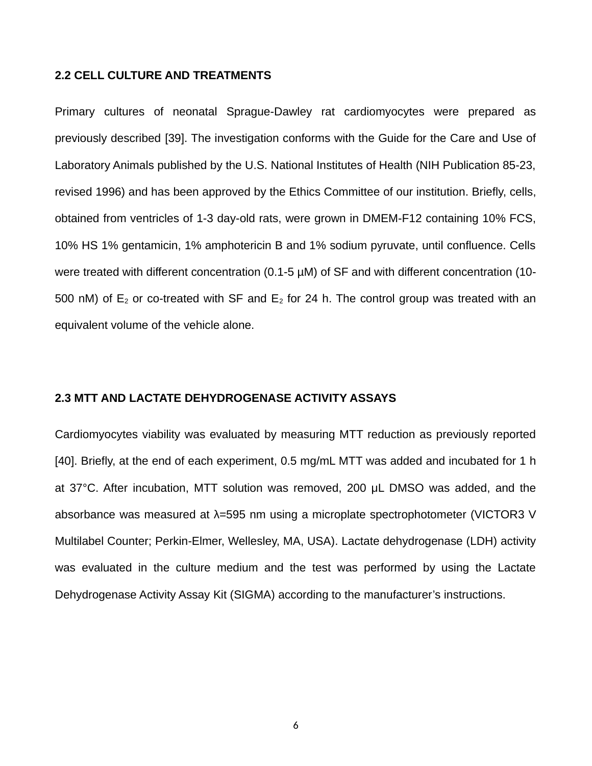## **2.2 CELL CULTURE AND TREATMENTS**

Primary cultures of neonatal Sprague-Dawley rat cardiomyocytes were prepared as previously described [39]. The investigation conforms with the Guide for the Care and Use of Laboratory Animals published by the U.S. National Institutes of Health (NIH Publication 85-23, revised 1996) and has been approved by the Ethics Committee of our institution. Briefly, cells, obtained from ventricles of 1-3 day-old rats, were grown in DMEM-F12 containing 10% FCS, 10% HS 1% gentamicin, 1% amphotericin B and 1% sodium pyruvate, until confluence. Cells were treated with different concentration (0.1-5  $\mu$ M) of SF and with different concentration (10-500 nM) of  $E_2$  or co-treated with SF and  $E_2$  for 24 h. The control group was treated with an equivalent volume of the vehicle alone.

## **2.3 MTT AND LACTATE DEHYDROGENASE ACTIVITY ASSAYS**

Cardiomyocytes viability was evaluated by measuring MTT reduction as previously reported [40]. Briefly, at the end of each experiment, 0.5 mg/mL MTT was added and incubated for 1 h at 37°C. After incubation, MTT solution was removed, 200 μL DMSO was added, and the absorbance was measured at λ=595 nm using a microplate spectrophotometer (VICTOR3 V Multilabel Counter; Perkin-Elmer, Wellesley, MA, USA). Lactate dehydrogenase (LDH) activity was evaluated in the culture medium and the test was performed by using the Lactate Dehydrogenase Activity Assay Kit (SIGMA) according to the manufacturer's instructions.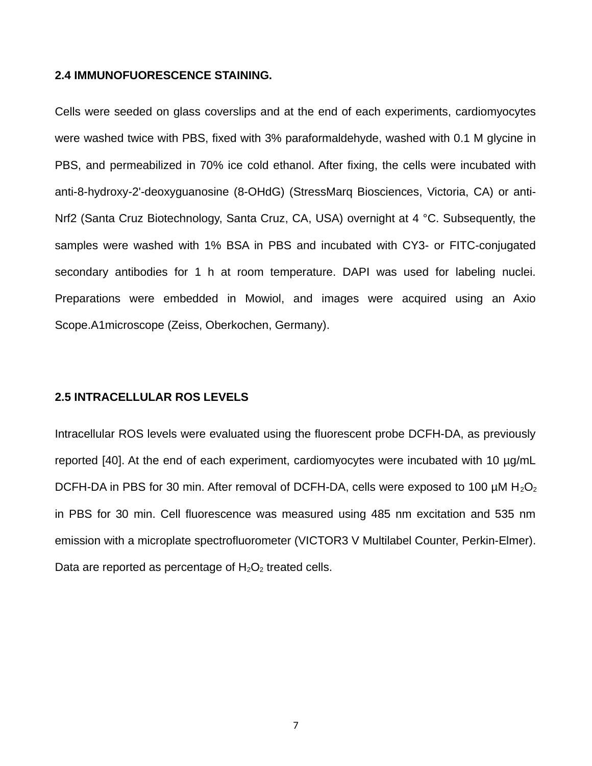## **2.4 IMMUNOFUORESCENCE STAINING.**

Cells were seeded on glass coverslips and at the end of each experiments, cardiomyocytes were washed twice with PBS, fixed with 3% paraformaldehyde, washed with 0.1 M glycine in PBS, and permeabilized in 70% ice cold ethanol. After fixing, the cells were incubated with anti-8-hydroxy-2'-deoxyguanosine (8-OHdG) (StressMarq Biosciences, Victoria, CA) or anti-Nrf2 (Santa Cruz Biotechnology, Santa Cruz, CA, USA) overnight at 4 °C. Subsequently, the samples were washed with 1% BSA in PBS and incubated with CY3- or FITC-conjugated secondary antibodies for 1 h at room temperature. DAPI was used for labeling nuclei. Preparations were embedded in Mowiol, and images were acquired using an Axio Scope.A1microscope (Zeiss, Oberkochen, Germany).

#### **2.5 INTRACELLULAR ROS LEVELS**

Intracellular ROS levels were evaluated using the fluorescent probe DCFH-DA, as previously reported [40]. At the end of each experiment, cardiomyocytes were incubated with 10 µg/mL DCFH-DA in PBS for 30 min. After removal of DCFH-DA, cells were exposed to 100  $\mu$ M H<sub>2</sub>O<sub>2</sub> in PBS for 30 min. Cell fluorescence was measured using 485 nm excitation and 535 nm emission with a microplate spectrofluorometer (VICTOR3 V Multilabel Counter, Perkin-Elmer). Data are reported as percentage of  $H_2O_2$  treated cells.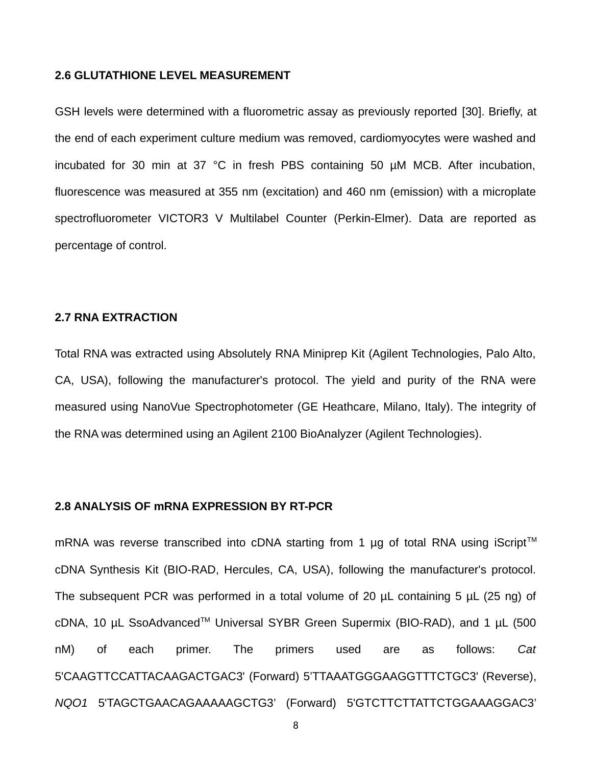## **2.6 GLUTATHIONE LEVEL MEASUREMENT**

GSH levels were determined with a fluorometric assay as previously reported [30]. Briefly, at the end of each experiment culture medium was removed, cardiomyocytes were washed and incubated for 30 min at 37 °C in fresh PBS containing 50 µM MCB. After incubation, fluorescence was measured at 355 nm (excitation) and 460 nm (emission) with a microplate spectrofluorometer VICTOR3 V Multilabel Counter (Perkin-Elmer). Data are reported as percentage of control.

### **2.7 RNA EXTRACTION**

Total RNA was extracted using Absolutely RNA Miniprep Kit (Agilent Technologies, Palo Alto, CA, USA), following the manufacturer's protocol. The yield and purity of the RNA were measured using NanoVue Spectrophotometer (GE Heathcare, Milano, Italy). The integrity of the RNA was determined using an Agilent 2100 BioAnalyzer (Agilent Technologies).

## **2.8 ANALYSIS OF mRNA EXPRESSION BY RT-PCR**

mRNA was reverse transcribed into cDNA starting from 1  $\mu$ g of total RNA using iScript<sup>™</sup> cDNA Synthesis Kit (BIO-RAD, Hercules, CA, USA), following the manufacturer's protocol. The subsequent PCR was performed in a total volume of 20 µL containing 5 µL (25 ng) of cDNA, 10 µL SsoAdvanced™ Universal SYBR Green Supermix (BIO-RAD), and 1 µL (500 nM) of each primer. The primers used are as follows: *Cat* 5'CAAGTTCCATTACAAGACTGAC3' (Forward) 5'TTAAATGGGAAGGTTTCTGC3' (Reverse), *NQO1* 5'TAGCTGAACAGAAAAAGCTG3' (Forward) 5'GTCTTCTTATTCTGGAAAGGAC3'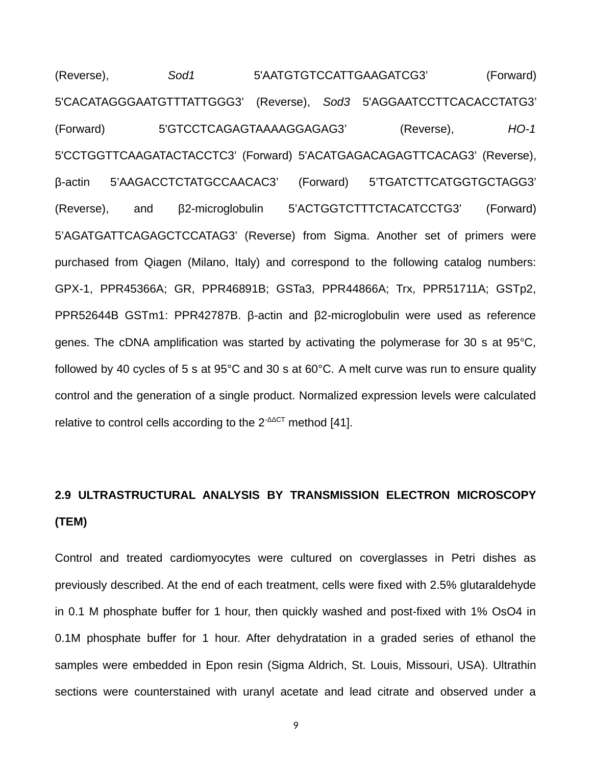(Reverse), *Sod1* 5'AATGTGTCCATTGAAGATCG3' (Forward) 5'CACATAGGGAATGTTTATTGGG3' (Reverse), *Sod3* 5'AGGAATCCTTCACACCTATG3' (Forward) 5'GTCCTCAGAGTAAAAGGAGAG3' (Reverse), *HO-1* 5'CCTGGTTCAAGATACTACCTC3' (Forward) 5'ACATGAGACAGAGTTCACAG3' (Reverse), β-actin 5'AAGACCTCTATGCCAACAC3' (Forward) 5'TGATCTTCATGGTGCTAGG3' (Reverse), and β2-microglobulin 5'ACTGGTCTTTCTACATCCTG3' (Forward) 5'AGATGATTCAGAGCTCCATAG3' (Reverse) from Sigma. Another set of primers were purchased from Qiagen (Milano, Italy) and correspond to the following catalog numbers: GPX-1, PPR45366A; GR, PPR46891B; GSTa3, PPR44866A; Trx, PPR51711A; GSTp2, PPR52644B GSTm1: PPR42787B. β-actin and β2-microglobulin were used as reference genes. The cDNA amplification was started by activating the polymerase for 30 s at 95°C, followed by 40 cycles of 5 s at 95°C and 30 s at 60°C. A melt curve was run to ensure quality control and the generation of a single product. Normalized expression levels were calculated relative to control cells according to the  $2^{-\Delta\Delta CT}$  method [41].

# **2.9 ULTRASTRUCTURAL ANALYSIS BY TRANSMISSION ELECTRON MICROSCOPY (TEM)**

Control and treated cardiomyocytes were cultured on coverglasses in Petri dishes as previously described. At the end of each treatment, cells were fixed with 2.5% glutaraldehyde in 0.1 M phosphate buffer for 1 hour, then quickly washed and post-fixed with 1% OsO4 in 0.1M phosphate buffer for 1 hour. After dehydratation in a graded series of ethanol the samples were embedded in Epon resin (Sigma Aldrich, St. Louis, Missouri, USA). Ultrathin sections were counterstained with uranyl acetate and lead citrate and observed under a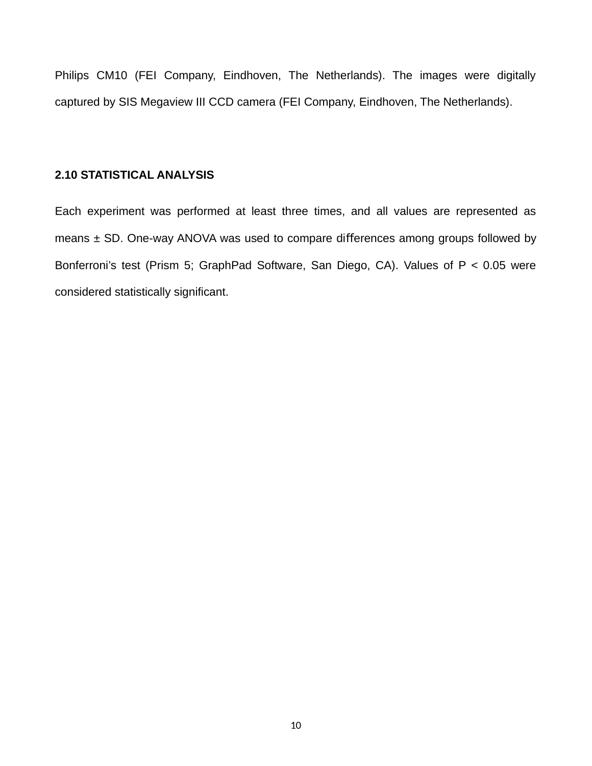Philips CM10 (FEI Company, Eindhoven, The Netherlands). The images were digitally captured by SIS Megaview III CCD camera (FEI Company, Eindhoven, The Netherlands).

# **2.10 STATISTICAL ANALYSIS**

Each experiment was performed at least three times, and all values are represented as means ± SD. One-way ANOVA was used to compare differences among groups followed by Bonferroni's test (Prism 5; GraphPad Software, San Diego, CA). Values of P < 0.05 were considered statistically significant.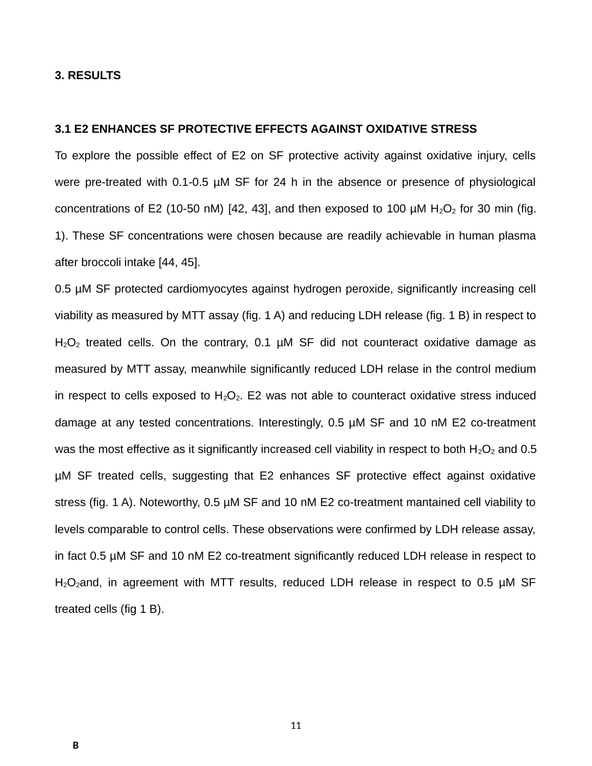## **3. RESULTS**

**B**

## **3.1 E2 ENHANCES SF PROTECTIVE EFFECTS AGAINST OXIDATIVE STRESS**

To explore the possible effect of E2 on SF protective activity against oxidative injury, cells were pre-treated with 0.1-0.5 µM SF for 24 h in the absence or presence of physiological concentrations of E2 (10-50 nM) [42, 43], and then exposed to 100  $\mu$ M H<sub>2</sub>O<sub>2</sub> for 30 min (fig. 1). These SF concentrations were chosen because are readily achievable in human plasma after broccoli intake [44, 45].

0.5 µM SF protected cardiomyocytes against hydrogen peroxide, significantly increasing cell viability as measured by MTT assay (fig. 1 A) and reducing LDH release (fig. 1 B) in respect to  $H_2O_2$  treated cells. On the contrary, 0.1  $\mu$ M SF did not counteract oxidative damage as measured by MTT assay, meanwhile significantly reduced LDH relase in the control medium in respect to cells exposed to  $H_2O_2$ . E2 was not able to counteract oxidative stress induced damage at any tested concentrations. Interestingly, 0.5 µM SF and 10 nM E2 co-treatment was the most effective as it significantly increased cell viability in respect to both  $H_2O_2$  and 0.5 µM SF treated cells, suggesting that E2 enhances SF protective effect against oxidative stress (fig. 1 A). Noteworthy, 0.5 µM SF and 10 nM E2 co-treatment mantained cell viability to levels comparable to control cells. These observations were confirmed by LDH release assay, in fact 0.5 µM SF and 10 nM E2 co-treatment significantly reduced LDH release in respect to  $H<sub>2</sub>O<sub>2</sub>$ and, in agreement with MTT results, reduced LDH release in respect to 0.5  $\mu$ M SF treated cells (fig 1 B).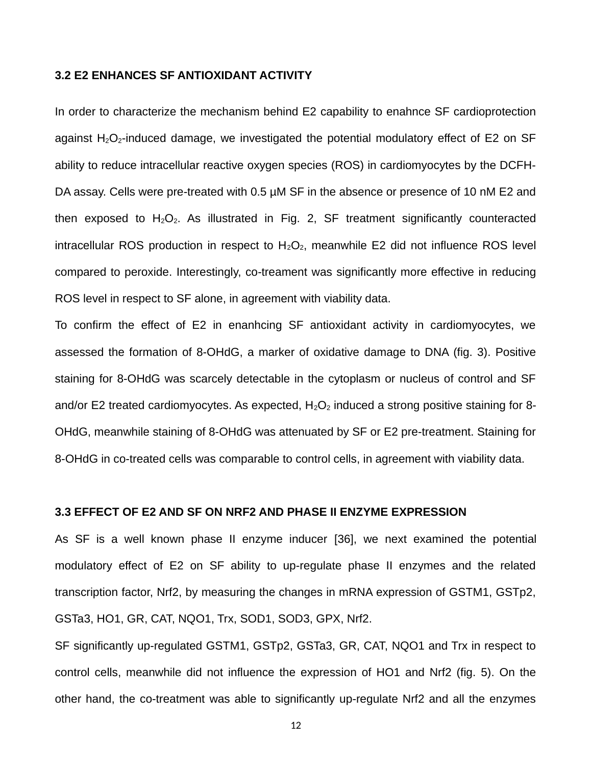## **3.2 E2 ENHANCES SF ANTIOXIDANT ACTIVITY**

In order to characterize the mechanism behind E2 capability to enahnce SF cardioprotection against  $H_2O_2$ -induced damage, we investigated the potential modulatory effect of E2 on SF ability to reduce intracellular reactive oxygen species (ROS) in cardiomyocytes by the DCFH-DA assay. Cells were pre-treated with 0.5  $\mu$ M SF in the absence or presence of 10 nM E2 and then exposed to  $H_2O_2$ . As illustrated in Fig. 2, SF treatment significantly counteracted intracellular ROS production in respect to  $H_2O_2$ , meanwhile E2 did not influence ROS level compared to peroxide. Interestingly, co-treament was significantly more effective in reducing ROS level in respect to SF alone, in agreement with viability data.

To confirm the effect of E2 in enanhcing SF antioxidant activity in cardiomyocytes, we assessed the formation of 8-OHdG, a marker of oxidative damage to DNA (fig. 3). Positive staining for 8-OHdG was scarcely detectable in the cytoplasm or nucleus of control and SF and/or E2 treated cardiomyocytes. As expected,  $H_2O_2$  induced a strong positive staining for 8-OHdG, meanwhile staining of 8-OHdG was attenuated by SF or E2 pre-treatment. Staining for 8-OHdG in co-treated cells was comparable to control cells, in agreement with viability data.

## **3.3 EFFECT OF E2 AND SF ON NRF2 AND PHASE II ENZYME EXPRESSION**

As SF is a well known phase II enzyme inducer [36], we next examined the potential modulatory effect of E2 on SF ability to up-regulate phase II enzymes and the related transcription factor, Nrf2, by measuring the changes in mRNA expression of GSTM1, GSTp2, GSTa3, HO1, GR, CAT, NQO1, Trx, SOD1, SOD3, GPX, Nrf2.

SF significantly up-regulated GSTM1, GSTp2, GSTa3, GR, CAT, NQO1 and Trx in respect to control cells, meanwhile did not influence the expression of HO1 and Nrf2 (fig. 5). On the other hand, the co-treatment was able to significantly up-regulate Nrf2 and all the enzymes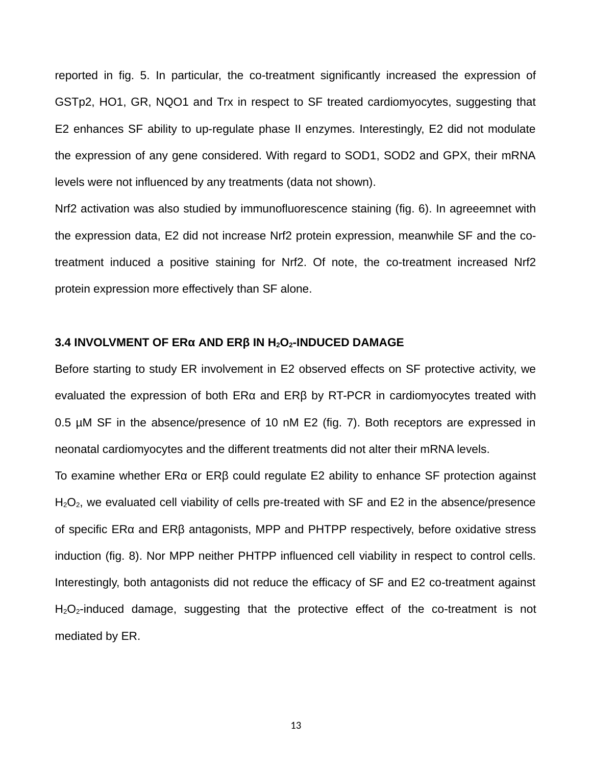reported in fig. 5. In particular, the co-treatment significantly increased the expression of GSTp2, HO1, GR, NQO1 and Trx in respect to SF treated cardiomyocytes, suggesting that E2 enhances SF ability to up-regulate phase II enzymes. Interestingly, E2 did not modulate the expression of any gene considered. With regard to SOD1, SOD2 and GPX, their mRNA levels were not influenced by any treatments (data not shown).

Nrf2 activation was also studied by immunofluorescence staining (fig. 6). In agreeemnet with the expression data, E2 did not increase Nrf2 protein expression, meanwhile SF and the cotreatment induced a positive staining for Nrf2. Of note, the co-treatment increased Nrf2 protein expression more effectively than SF alone.

## **3.4 INVOLVMENT OF ERα AND ERβ IN H2O2-INDUCED DAMAGE**

Before starting to study ER involvement in E2 observed effects on SF protective activity, we evaluated the expression of both  $ER\alpha$  and  $ER\beta$  by RT-PCR in cardiomyocytes treated with 0.5 µM SF in the absence/presence of 10 nM E2 (fig. 7). Both receptors are expressed in neonatal cardiomyocytes and the different treatments did not alter their mRNA levels.

To examine whether ERα or ERβ could regulate E2 ability to enhance SF protection against  $H<sub>2</sub>O<sub>2</sub>$ , we evaluated cell viability of cells pre-treated with SF and E2 in the absence/presence of specific ERα and ERβ antagonists, MPP and PHTPP respectively, before oxidative stress induction (fig. 8). Nor MPP neither PHTPP influenced cell viability in respect to control cells. Interestingly, both antagonists did not reduce the efficacy of SF and E2 co-treatment against  $H_2O_2$ -induced damage, suggesting that the protective effect of the co-treatment is not mediated by ER.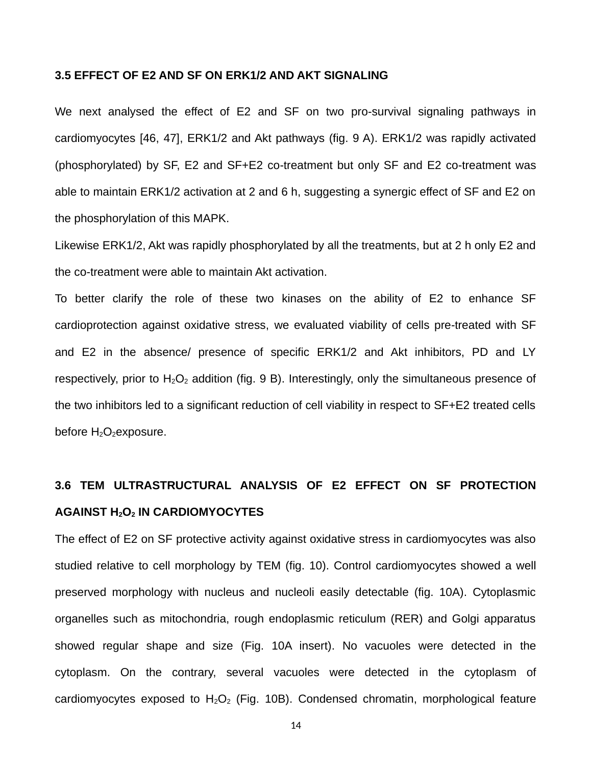## **3.5 EFFECT OF E2 AND SF ON ERK1/2 AND AKT SIGNALING**

We next analysed the effect of E2 and SF on two pro-survival signaling pathways in cardiomyocytes [46, 47], ERK1/2 and Akt pathways (fig. 9 A). ERK1/2 was rapidly activated (phosphorylated) by SF, E2 and SF+E2 co-treatment but only SF and E2 co-treatment was able to maintain ERK1/2 activation at 2 and 6 h, suggesting a synergic effect of SF and E2 on the phosphorylation of this MAPK.

Likewise ERK1/2, Akt was rapidly phosphorylated by all the treatments, but at 2 h only E2 and the co-treatment were able to maintain Akt activation.

To better clarify the role of these two kinases on the ability of E2 to enhance SF cardioprotection against oxidative stress, we evaluated viability of cells pre-treated with SF and E2 in the absence/ presence of specific ERK1/2 and Akt inhibitors, PD and LY respectively, prior to  $H_2O_2$  addition (fig. 9 B). Interestingly, only the simultaneous presence of the two inhibitors led to a significant reduction of cell viability in respect to SF+E2 treated cells before  $H_2O_2$ exposure.

# **3.6 TEM ULTRASTRUCTURAL ANALYSIS OF E2 EFFECT ON SF PROTECTION AGAINST H2O2 IN CARDIOMYOCYTES**

The effect of E2 on SF protective activity against oxidative stress in cardiomyocytes was also studied relative to cell morphology by TEM (fig. 10). Control cardiomyocytes showed a well preserved morphology with nucleus and nucleoli easily detectable (fig. 10A). Cytoplasmic organelles such as mitochondria, rough endoplasmic reticulum (RER) and Golgi apparatus showed regular shape and size (Fig. 10A insert). No vacuoles were detected in the cytoplasm. On the contrary, several vacuoles were detected in the cytoplasm of cardiomyocytes exposed to  $H_2O_2$  (Fig. 10B). Condensed chromatin, morphological feature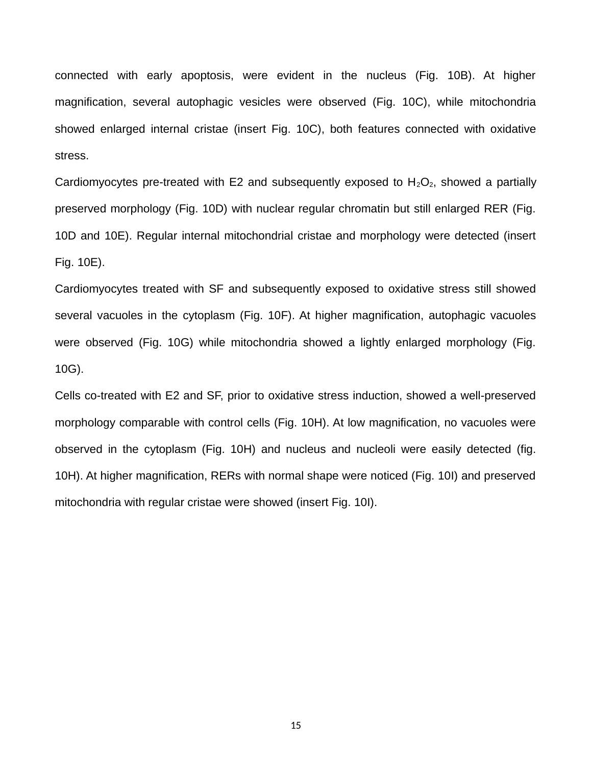connected with early apoptosis, were evident in the nucleus (Fig. 10B). At higher magnification, several autophagic vesicles were observed (Fig. 10C), while mitochondria showed enlarged internal cristae (insert Fig. 10C), both features connected with oxidative stress.

Cardiomyocytes pre-treated with E2 and subsequently exposed to  $H_2O_2$ , showed a partially preserved morphology (Fig. 10D) with nuclear regular chromatin but still enlarged RER (Fig. 10D and 10E). Regular internal mitochondrial cristae and morphology were detected (insert Fig. 10E).

Cardiomyocytes treated with SF and subsequently exposed to oxidative stress still showed several vacuoles in the cytoplasm (Fig. 10F). At higher magnification, autophagic vacuoles were observed (Fig. 10G) while mitochondria showed a lightly enlarged morphology (Fig. 10G).

Cells co-treated with E2 and SF, prior to oxidative stress induction, showed a well-preserved morphology comparable with control cells (Fig. 10H). At low magnification, no vacuoles were observed in the cytoplasm (Fig. 10H) and nucleus and nucleoli were easily detected (fig. 10H). At higher magnification, RERs with normal shape were noticed (Fig. 10I) and preserved mitochondria with regular cristae were showed (insert Fig. 10I).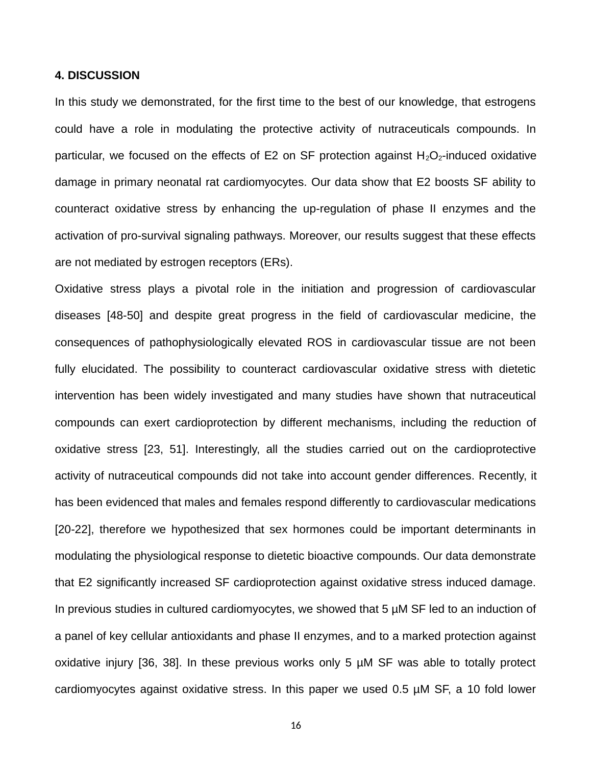## **4. DISCUSSION**

In this study we demonstrated, for the first time to the best of our knowledge, that estrogens could have a role in modulating the protective activity of nutraceuticals compounds. In particular, we focused on the effects of E2 on SF protection against  $H_2O_2$ -induced oxidative damage in primary neonatal rat cardiomyocytes. Our data show that E2 boosts SF ability to counteract oxidative stress by enhancing the up-regulation of phase II enzymes and the activation of pro-survival signaling pathways. Moreover, our results suggest that these effects are not mediated by estrogen receptors (ERs).

Oxidative stress plays a pivotal role in the initiation and progression of cardiovascular diseases [48-50] and despite great progress in the field of cardiovascular medicine, the consequences of pathophysiologically elevated ROS in cardiovascular tissue are not been fully elucidated. The possibility to counteract cardiovascular oxidative stress with dietetic intervention has been widely investigated and many studies have shown that nutraceutical compounds can exert cardioprotection by different mechanisms, including the reduction of oxidative stress [23, 51]. Interestingly, all the studies carried out on the cardioprotective activity of nutraceutical compounds did not take into account gender differences. Recently, it has been evidenced that males and females respond differently to cardiovascular medications [20-22], therefore we hypothesized that sex hormones could be important determinants in modulating the physiological response to dietetic bioactive compounds. Our data demonstrate that E2 significantly increased SF cardioprotection against oxidative stress induced damage. In previous studies in cultured cardiomyocytes, we showed that 5 µM SF led to an induction of a panel of key cellular antioxidants and phase II enzymes, and to a marked protection against oxidative injury [36, 38]. In these previous works only 5 µM SF was able to totally protect cardiomyocytes against oxidative stress. In this paper we used 0.5 µM SF, a 10 fold lower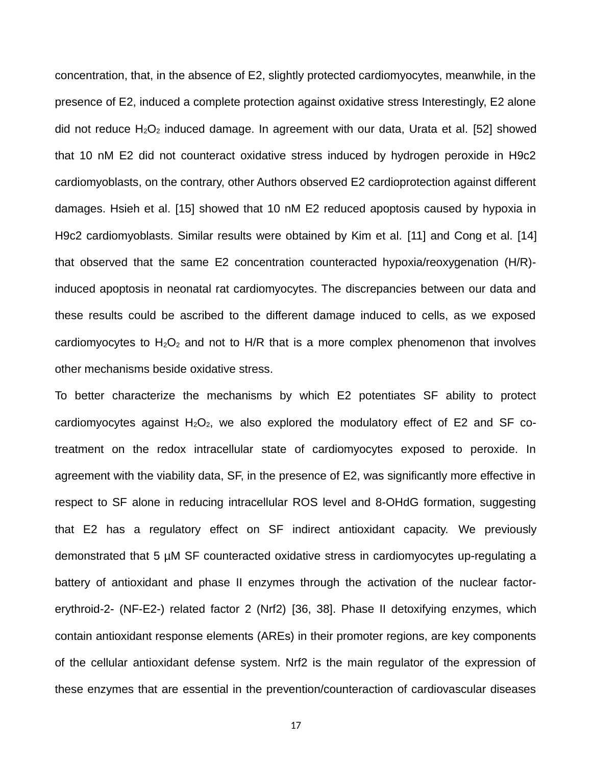concentration, that, in the absence of E2, slightly protected cardiomyocytes, meanwhile, in the presence of E2, induced a complete protection against oxidative stress Interestingly, E2 alone did not reduce  $H_2O_2$  induced damage. In agreement with our data, Urata et al. [52] showed that 10 nM E2 did not counteract oxidative stress induced by hydrogen peroxide in H9c2 cardiomyoblasts, on the contrary, other Authors observed E2 cardioprotection against different damages. Hsieh et al. [15] showed that 10 nM E2 reduced apoptosis caused by hypoxia in H9c2 cardiomyoblasts. Similar results were obtained by Kim et al. [11] and Cong et al. [14] that observed that the same E2 concentration counteracted hypoxia/reoxygenation (H/R) induced apoptosis in neonatal rat cardiomyocytes. The discrepancies between our data and these results could be ascribed to the different damage induced to cells, as we exposed cardiomyocytes to  $H_2O_2$  and not to H/R that is a more complex phenomenon that involves other mechanisms beside oxidative stress.

To better characterize the mechanisms by which E2 potentiates SF ability to protect cardiomyocytes against  $H_2O_2$ , we also explored the modulatory effect of E2 and SF cotreatment on the redox intracellular state of cardiomyocytes exposed to peroxide. In agreement with the viability data, SF, in the presence of E2, was significantly more effective in respect to SF alone in reducing intracellular ROS level and 8-OHdG formation, suggesting that E2 has a regulatory effect on SF indirect antioxidant capacity. We previously demonstrated that 5 µM SF counteracted oxidative stress in cardiomyocytes up-regulating a battery of antioxidant and phase II enzymes through the activation of the nuclear factorerythroid-2- (NF-E2-) related factor 2 (Nrf2) [36, 38]. Phase II detoxifying enzymes, which contain antioxidant response elements (AREs) in their promoter regions, are key components of the cellular antioxidant defense system. Nrf2 is the main regulator of the expression of these enzymes that are essential in the prevention/counteraction of cardiovascular diseases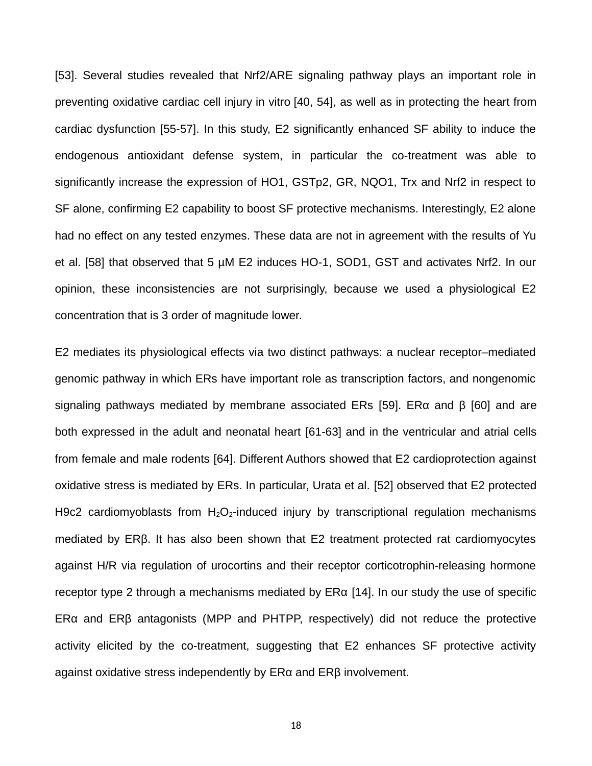[53]. Several studies revealed that Nrf2/ARE signaling pathway plays an important role in preventing oxidative cardiac cell injury in vitro [40, 54], as well as in protecting the heart from cardiac dysfunction [55-57]. In this study, E2 significantly enhanced SF ability to induce the endogenous antioxidant defense system, in particular the co-treatment was able to significantly increase the expression of HO1, GSTp2, GR, NQO1, Trx and Nrf2 in respect to SF alone, confirming E2 capability to boost SF protective mechanisms. Interestingly, E2 alone had no effect on any tested enzymes. These data are not in agreement with the results of Yu et al. [58] that observed that 5 µM E2 induces HO-1, SOD1, GST and activates Nrf2. In our opinion, these inconsistencies are not surprisingly, because we used a physiological E2 concentration that is 3 order of magnitude lower.

E2 mediates its physiological effects via two distinct pathways: a nuclear receptor–mediated genomic pathway in which ERs have important role as transcription factors, and nongenomic signaling pathways mediated by membrane associated ERs [59]. ERα and β [60] and are both expressed in the adult and neonatal heart [61-63] and in the ventricular and atrial cells from female and male rodents [64]. Different Authors showed that E2 cardioprotection against oxidative stress is mediated by ERs. In particular, Urata et al. [52] observed that E2 protected H9c2 cardiomyoblasts from  $H_2O_2$ -induced injury by transcriptional regulation mechanisms mediated by ERβ. It has also been shown that E2 treatment protected rat cardiomyocytes against H/R via regulation of urocortins and their receptor corticotrophin-releasing hormone receptor type 2 through a mechanisms mediated by  $E R\alpha$  [14]. In our study the use of specific ERα and ERβ antagonists (MPP and PHTPP, respectively) did not reduce the protective activity elicited by the co-treatment, suggesting that E2 enhances SF protective activity against oxidative stress independently by ERα and ERβ involvement.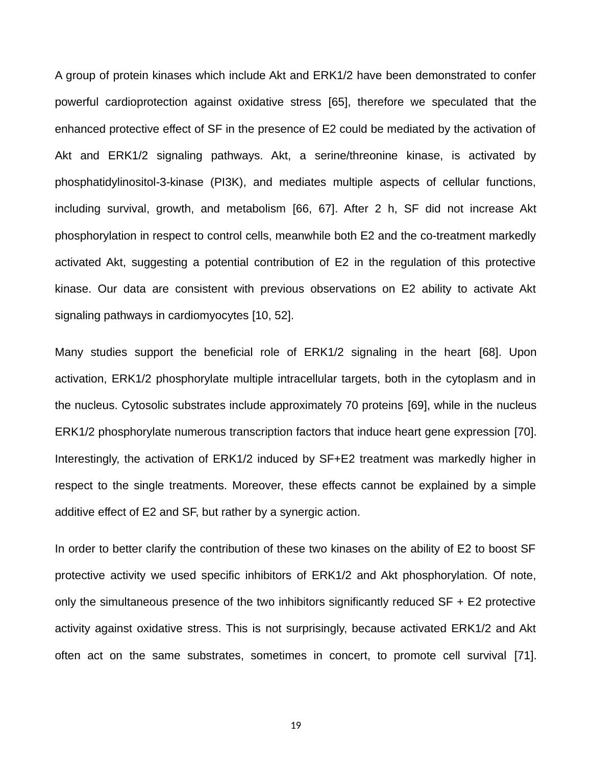A group of protein kinases which include Akt and ERK1/2 have been demonstrated to confer powerful cardioprotection against oxidative stress [65], therefore we speculated that the enhanced protective effect of SF in the presence of E2 could be mediated by the activation of Akt and ERK1/2 signaling pathways. Akt, a serine/threonine kinase, is activated by phosphatidylinositol-3-kinase (PI3K), and mediates multiple aspects of cellular functions, including survival, growth, and metabolism [66, 67]. After 2 h, SF did not increase Akt phosphorylation in respect to control cells, meanwhile both E2 and the co-treatment markedly activated Akt, suggesting a potential contribution of E2 in the regulation of this protective kinase. Our data are consistent with previous observations on E2 ability to activate Akt signaling pathways in cardiomyocytes [10, 52].

Many studies support the beneficial role of ERK1/2 signaling in the heart [68]. Upon activation, ERK1/2 phosphorylate multiple intracellular targets, both in the cytoplasm and in the nucleus. Cytosolic substrates include approximately 70 proteins [69], while in the nucleus ERK1/2 phosphorylate numerous transcription factors that induce heart gene expression [70]. Interestingly, the activation of ERK1/2 induced by SF+E2 treatment was markedly higher in respect to the single treatments. Moreover, these effects cannot be explained by a simple additive effect of E2 and SF, but rather by a synergic action.

In order to better clarify the contribution of these two kinases on the ability of E2 to boost SF protective activity we used specific inhibitors of ERK1/2 and Akt phosphorylation. Of note, only the simultaneous presence of the two inhibitors significantly reduced  $SF + E2$  protective activity against oxidative stress. This is not surprisingly, because activated ERK1/2 and Akt often act on the same substrates, sometimes in concert, to promote cell survival [71].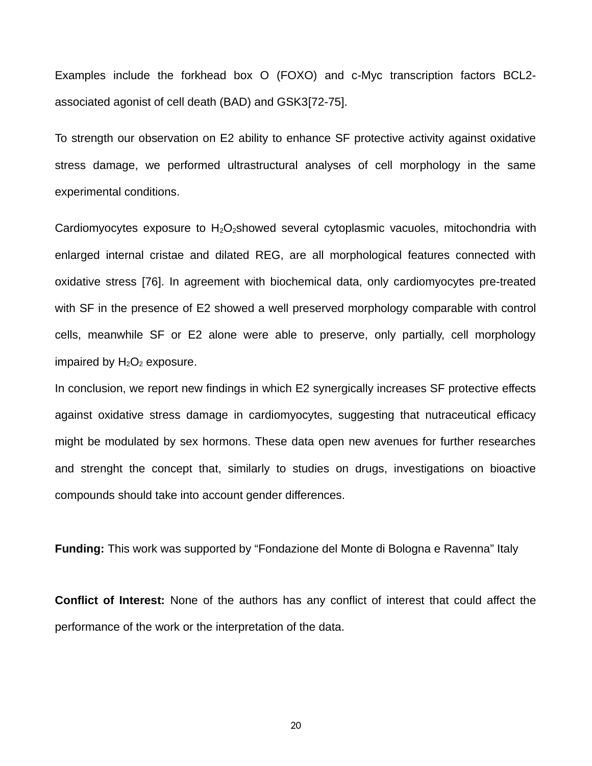Examples include the forkhead box O (FOXO) and c-Myc transcription factors BCL2 associated agonist of cell death (BAD) and GSK3[72-75].

To strength our observation on E2 ability to enhance SF protective activity against oxidative stress damage, we performed ultrastructural analyses of cell morphology in the same experimental conditions.

Cardiomyocytes exposure to  $H_2O_2$ showed several cytoplasmic vacuoles, mitochondria with enlarged internal cristae and dilated REG, are all morphological features connected with oxidative stress [76]. In agreement with biochemical data, only cardiomyocytes pre-treated with SF in the presence of E2 showed a well preserved morphology comparable with control cells, meanwhile SF or E2 alone were able to preserve, only partially, cell morphology impaired by  $H_2O_2$  exposure.

In conclusion, we report new findings in which E2 synergically increases SF protective effects against oxidative stress damage in cardiomyocytes, suggesting that nutraceutical efficacy might be modulated by sex hormons. These data open new avenues for further researches and strenght the concept that, similarly to studies on drugs, investigations on bioactive compounds should take into account gender differences.

**Funding:** This work was supported by "Fondazione del Monte di Bologna e Ravenna" Italy

**Conflict of Interest:** None of the authors has any conflict of interest that could affect the performance of the work or the interpretation of the data.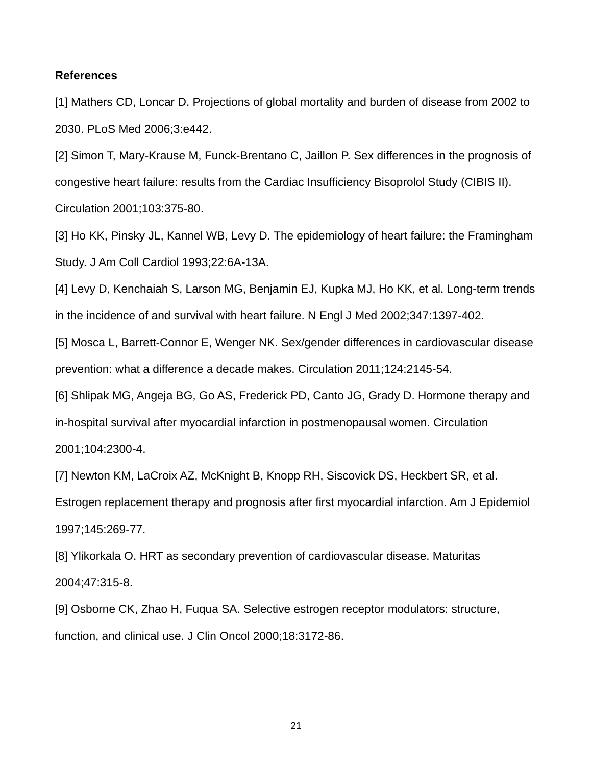## **References**

[1] Mathers CD, Loncar D. Projections of global mortality and burden of disease from 2002 to 2030. PLoS Med 2006;3:e442.

[2] Simon T, Mary-Krause M, Funck-Brentano C, Jaillon P. Sex differences in the prognosis of congestive heart failure: results from the Cardiac Insufficiency Bisoprolol Study (CIBIS II). Circulation 2001;103:375-80.

[3] Ho KK, Pinsky JL, Kannel WB, Levy D. The epidemiology of heart failure: the Framingham Study. J Am Coll Cardiol 1993;22:6A-13A.

[4] Levy D, Kenchaiah S, Larson MG, Benjamin EJ, Kupka MJ, Ho KK, et al. Long-term trends in the incidence of and survival with heart failure. N Engl J Med 2002;347:1397-402.

[5] Mosca L, Barrett-Connor E, Wenger NK. Sex/gender differences in cardiovascular disease prevention: what a difference a decade makes. Circulation 2011;124:2145-54.

[6] Shlipak MG, Angeja BG, Go AS, Frederick PD, Canto JG, Grady D. Hormone therapy and in-hospital survival after myocardial infarction in postmenopausal women. Circulation 2001;104:2300-4.

[7] Newton KM, LaCroix AZ, McKnight B, Knopp RH, Siscovick DS, Heckbert SR, et al.

Estrogen replacement therapy and prognosis after first myocardial infarction. Am J Epidemiol 1997;145:269-77.

[8] Ylikorkala O. HRT as secondary prevention of cardiovascular disease. Maturitas 2004;47:315-8.

[9] Osborne CK, Zhao H, Fuqua SA. Selective estrogen receptor modulators: structure, function, and clinical use. J Clin Oncol 2000;18:3172-86.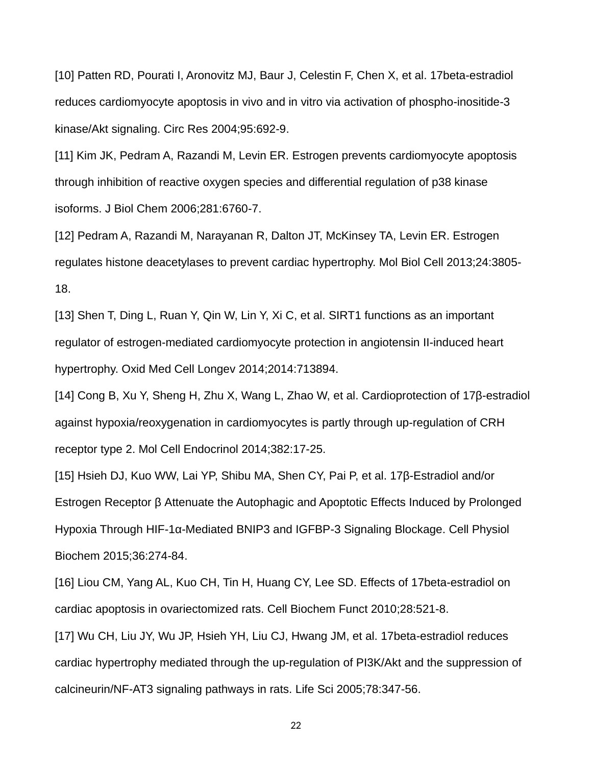[10] Patten RD, Pourati I, Aronovitz MJ, Baur J, Celestin F, Chen X, et al. 17beta-estradiol reduces cardiomyocyte apoptosis in vivo and in vitro via activation of phospho-inositide-3 kinase/Akt signaling. Circ Res 2004;95:692-9.

[11] Kim JK, Pedram A, Razandi M, Levin ER. Estrogen prevents cardiomyocyte apoptosis through inhibition of reactive oxygen species and differential regulation of p38 kinase isoforms. J Biol Chem 2006;281:6760-7.

[12] Pedram A, Razandi M, Narayanan R, Dalton JT, McKinsey TA, Levin ER. Estrogen regulates histone deacetylases to prevent cardiac hypertrophy. Mol Biol Cell 2013;24:3805- 18.

[13] Shen T, Ding L, Ruan Y, Qin W, Lin Y, Xi C, et al. SIRT1 functions as an important regulator of estrogen-mediated cardiomyocyte protection in angiotensin II-induced heart hypertrophy. Oxid Med Cell Longev 2014;2014:713894.

[14] Cong B, Xu Y, Sheng H, Zhu X, Wang L, Zhao W, et al. Cardioprotection of 17β-estradiol against hypoxia/reoxygenation in cardiomyocytes is partly through up-regulation of CRH receptor type 2. Mol Cell Endocrinol 2014;382:17-25.

[15] Hsieh DJ, Kuo WW, Lai YP, Shibu MA, Shen CY, Pai P, et al. 17β-Estradiol and/or Estrogen Receptor β Attenuate the Autophagic and Apoptotic Effects Induced by Prolonged Hypoxia Through HIF-1α-Mediated BNIP3 and IGFBP-3 Signaling Blockage. Cell Physiol Biochem 2015;36:274-84.

[16] Liou CM, Yang AL, Kuo CH, Tin H, Huang CY, Lee SD. Effects of 17beta-estradiol on cardiac apoptosis in ovariectomized rats. Cell Biochem Funct 2010;28:521-8.

[17] Wu CH, Liu JY, Wu JP, Hsieh YH, Liu CJ, Hwang JM, et al. 17beta-estradiol reduces cardiac hypertrophy mediated through the up-regulation of PI3K/Akt and the suppression of calcineurin/NF-AT3 signaling pathways in rats. Life Sci 2005;78:347-56.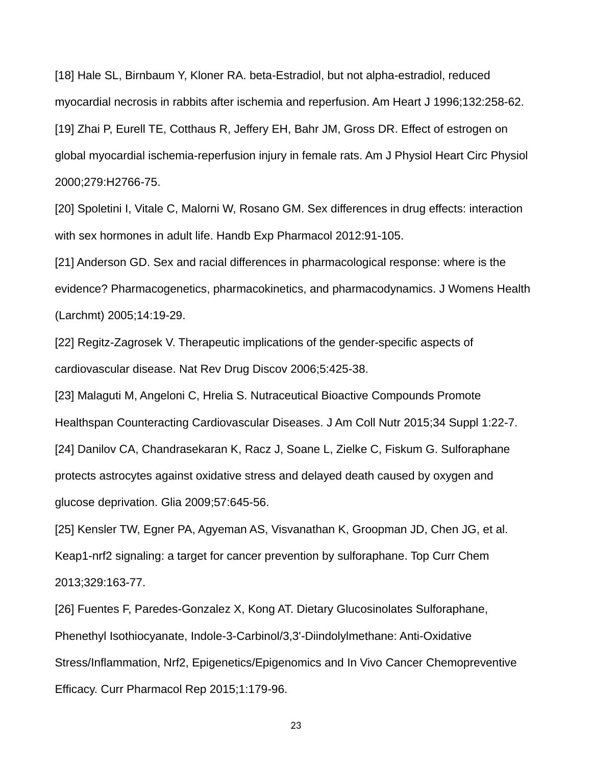[18] Hale SL, Birnbaum Y, Kloner RA. beta-Estradiol, but not alpha-estradiol, reduced myocardial necrosis in rabbits after ischemia and reperfusion. Am Heart J 1996;132:258-62. [19] Zhai P, Eurell TE, Cotthaus R, Jeffery EH, Bahr JM, Gross DR. Effect of estrogen on global myocardial ischemia-reperfusion injury in female rats. Am J Physiol Heart Circ Physiol 2000;279:H2766-75.

[20] Spoletini I, Vitale C, Malorni W, Rosano GM. Sex differences in drug effects: interaction with sex hormones in adult life. Handb Exp Pharmacol 2012:91-105.

[21] Anderson GD. Sex and racial differences in pharmacological response: where is the evidence? Pharmacogenetics, pharmacokinetics, and pharmacodynamics. J Womens Health (Larchmt) 2005;14:19-29.

[22] Regitz-Zagrosek V. Therapeutic implications of the gender-specific aspects of cardiovascular disease. Nat Rev Drug Discov 2006;5:425-38.

[23] Malaguti M, Angeloni C, Hrelia S. Nutraceutical Bioactive Compounds Promote Healthspan Counteracting Cardiovascular Diseases. J Am Coll Nutr 2015;34 Suppl 1:22-7. [24] Danilov CA, Chandrasekaran K, Racz J, Soane L, Zielke C, Fiskum G. Sulforaphane protects astrocytes against oxidative stress and delayed death caused by oxygen and glucose deprivation. Glia 2009;57:645-56.

[25] Kensler TW, Egner PA, Agyeman AS, Visvanathan K, Groopman JD, Chen JG, et al. Keap1-nrf2 signaling: a target for cancer prevention by sulforaphane. Top Curr Chem 2013;329:163-77.

[26] Fuentes F, Paredes-Gonzalez X, Kong AT. Dietary Glucosinolates Sulforaphane, Phenethyl Isothiocyanate, Indole-3-Carbinol/3,3'-Diindolylmethane: Anti-Oxidative Stress/Inflammation, Nrf2, Epigenetics/Epigenomics and In Vivo Cancer Chemopreventive Efficacy. Curr Pharmacol Rep 2015;1:179-96.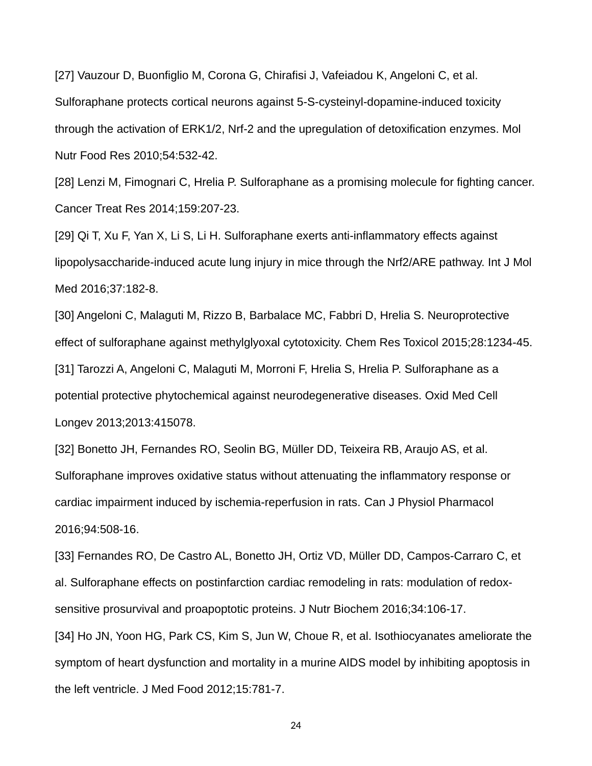[27] Vauzour D, Buonfiglio M, Corona G, Chirafisi J, Vafeiadou K, Angeloni C, et al. Sulforaphane protects cortical neurons against 5-S-cysteinyl-dopamine-induced toxicity through the activation of ERK1/2, Nrf-2 and the upregulation of detoxification enzymes. Mol Nutr Food Res 2010;54:532-42.

[28] Lenzi M, Fimognari C, Hrelia P. Sulforaphane as a promising molecule for fighting cancer. Cancer Treat Res 2014;159:207-23.

[29] Qi T, Xu F, Yan X, Li S, Li H. Sulforaphane exerts anti-inflammatory effects against lipopolysaccharide-induced acute lung injury in mice through the Nrf2/ARE pathway. Int J Mol Med 2016;37:182-8.

[30] Angeloni C, Malaguti M, Rizzo B, Barbalace MC, Fabbri D, Hrelia S. Neuroprotective effect of sulforaphane against methylglyoxal cytotoxicity. Chem Res Toxicol 2015;28:1234-45. [31] Tarozzi A, Angeloni C, Malaguti M, Morroni F, Hrelia S, Hrelia P. Sulforaphane as a potential protective phytochemical against neurodegenerative diseases. Oxid Med Cell Longev 2013;2013:415078.

[32] Bonetto JH, Fernandes RO, Seolin BG, Müller DD, Teixeira RB, Araujo AS, et al. Sulforaphane improves oxidative status without attenuating the inflammatory response or cardiac impairment induced by ischemia-reperfusion in rats. Can J Physiol Pharmacol 2016;94:508-16.

[33] Fernandes RO, De Castro AL, Bonetto JH, Ortiz VD, Müller DD, Campos-Carraro C, et al. Sulforaphane effects on postinfarction cardiac remodeling in rats: modulation of redoxsensitive prosurvival and proapoptotic proteins. J Nutr Biochem 2016;34:106-17. [34] Ho JN, Yoon HG, Park CS, Kim S, Jun W, Choue R, et al. Isothiocyanates ameliorate the symptom of heart dysfunction and mortality in a murine AIDS model by inhibiting apoptosis in the left ventricle. J Med Food 2012;15:781-7.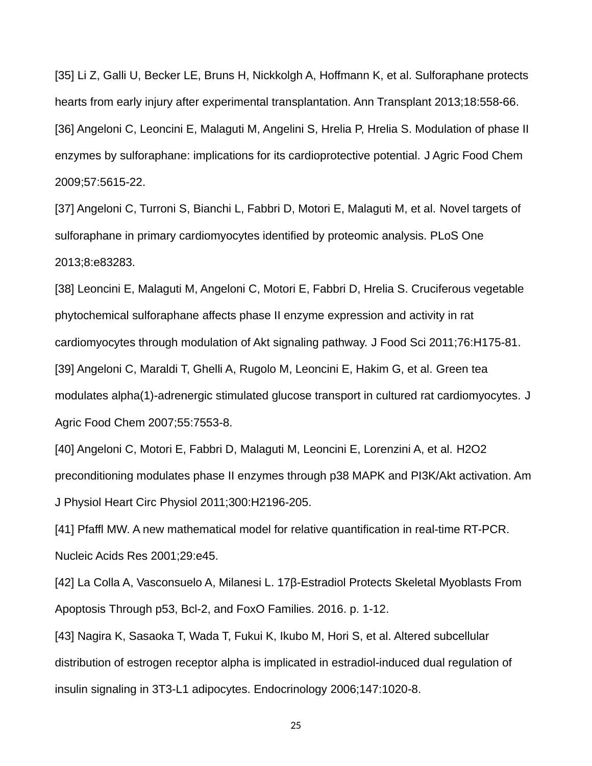[35] Li Z, Galli U, Becker LE, Bruns H, Nickkolgh A, Hoffmann K, et al. Sulforaphane protects hearts from early injury after experimental transplantation. Ann Transplant 2013;18:558-66. [36] Angeloni C, Leoncini E, Malaguti M, Angelini S, Hrelia P, Hrelia S. Modulation of phase II enzymes by sulforaphane: implications for its cardioprotective potential. J Agric Food Chem 2009;57:5615-22.

[37] Angeloni C, Turroni S, Bianchi L, Fabbri D, Motori E, Malaguti M, et al. Novel targets of sulforaphane in primary cardiomyocytes identified by proteomic analysis. PLoS One 2013;8:e83283.

[38] Leoncini E, Malaguti M, Angeloni C, Motori E, Fabbri D, Hrelia S. Cruciferous vegetable phytochemical sulforaphane affects phase II enzyme expression and activity in rat cardiomyocytes through modulation of Akt signaling pathway. J Food Sci 2011;76:H175-81. [39] Angeloni C, Maraldi T, Ghelli A, Rugolo M, Leoncini E, Hakim G, et al. Green tea modulates alpha(1)-adrenergic stimulated glucose transport in cultured rat cardiomyocytes. J Agric Food Chem 2007;55:7553-8.

[40] Angeloni C, Motori E, Fabbri D, Malaguti M, Leoncini E, Lorenzini A, et al. H2O2 preconditioning modulates phase II enzymes through p38 MAPK and PI3K/Akt activation. Am J Physiol Heart Circ Physiol 2011;300:H2196-205.

[41] Pfaffl MW. A new mathematical model for relative quantification in real-time RT-PCR. Nucleic Acids Res 2001;29:e45.

[42] La Colla A, Vasconsuelo A, Milanesi L. 17β-Estradiol Protects Skeletal Myoblasts From Apoptosis Through p53, Bcl-2, and FoxO Families. 2016. p. 1-12.

[43] Nagira K, Sasaoka T, Wada T, Fukui K, Ikubo M, Hori S, et al. Altered subcellular distribution of estrogen receptor alpha is implicated in estradiol-induced dual regulation of insulin signaling in 3T3-L1 adipocytes. Endocrinology 2006;147:1020-8.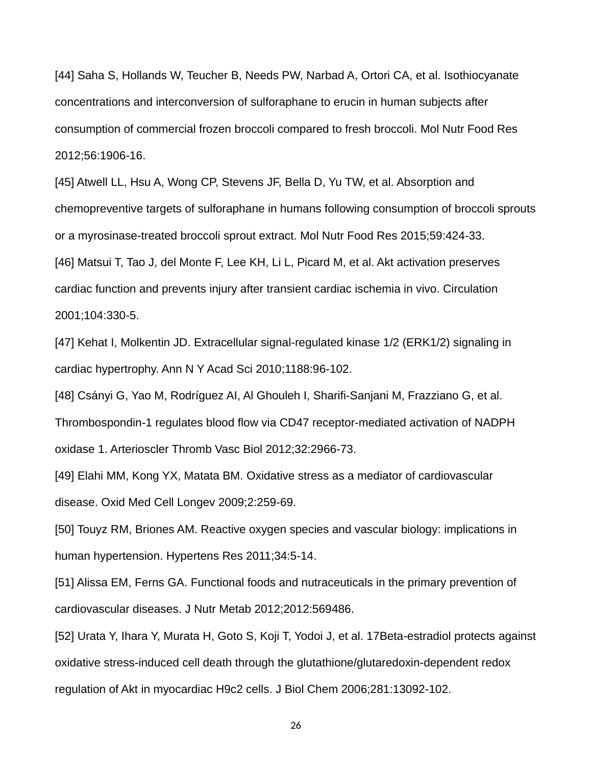[44] Saha S, Hollands W, Teucher B, Needs PW, Narbad A, Ortori CA, et al. Isothiocyanate concentrations and interconversion of sulforaphane to erucin in human subjects after consumption of commercial frozen broccoli compared to fresh broccoli. Mol Nutr Food Res 2012;56:1906-16.

[45] Atwell LL, Hsu A, Wong CP, Stevens JF, Bella D, Yu TW, et al. Absorption and chemopreventive targets of sulforaphane in humans following consumption of broccoli sprouts or a myrosinase-treated broccoli sprout extract. Mol Nutr Food Res 2015;59:424-33. [46] Matsui T, Tao J, del Monte F, Lee KH, Li L, Picard M, et al. Akt activation preserves cardiac function and prevents injury after transient cardiac ischemia in vivo. Circulation 2001;104:330-5.

[47] Kehat I, Molkentin JD. Extracellular signal-regulated kinase 1/2 (ERK1/2) signaling in cardiac hypertrophy. Ann N Y Acad Sci 2010;1188:96-102.

[48] Csányi G, Yao M, Rodríguez AI, Al Ghouleh I, Sharifi-Sanjani M, Frazziano G, et al. Thrombospondin-1 regulates blood flow via CD47 receptor-mediated activation of NADPH oxidase 1. Arterioscler Thromb Vasc Biol 2012;32:2966-73.

[49] Elahi MM, Kong YX, Matata BM. Oxidative stress as a mediator of cardiovascular disease. Oxid Med Cell Longev 2009;2:259-69.

[50] Touyz RM, Briones AM. Reactive oxygen species and vascular biology: implications in human hypertension. Hypertens Res 2011;34:5-14.

[51] Alissa EM, Ferns GA. Functional foods and nutraceuticals in the primary prevention of cardiovascular diseases. J Nutr Metab 2012;2012:569486.

[52] Urata Y, Ihara Y, Murata H, Goto S, Koji T, Yodoi J, et al. 17Beta-estradiol protects against oxidative stress-induced cell death through the glutathione/glutaredoxin-dependent redox regulation of Akt in myocardiac H9c2 cells. J Biol Chem 2006;281:13092-102.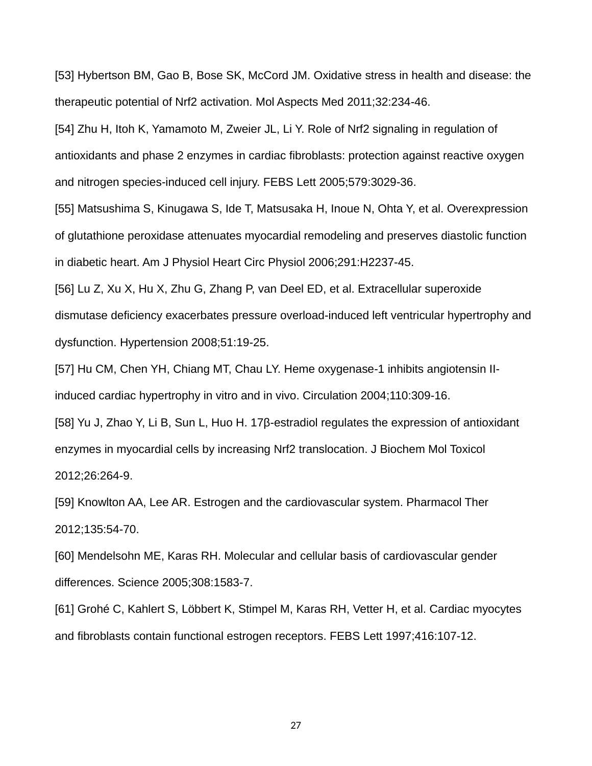[53] Hybertson BM, Gao B, Bose SK, McCord JM. Oxidative stress in health and disease: the therapeutic potential of Nrf2 activation. Mol Aspects Med 2011;32:234-46.

[54] Zhu H, Itoh K, Yamamoto M, Zweier JL, Li Y. Role of Nrf2 signaling in regulation of antioxidants and phase 2 enzymes in cardiac fibroblasts: protection against reactive oxygen and nitrogen species-induced cell injury. FEBS Lett 2005;579:3029-36.

[55] Matsushima S, Kinugawa S, Ide T, Matsusaka H, Inoue N, Ohta Y, et al. Overexpression of glutathione peroxidase attenuates myocardial remodeling and preserves diastolic function in diabetic heart. Am J Physiol Heart Circ Physiol 2006;291:H2237-45.

[56] Lu Z, Xu X, Hu X, Zhu G, Zhang P, van Deel ED, et al. Extracellular superoxide dismutase deficiency exacerbates pressure overload-induced left ventricular hypertrophy and dysfunction. Hypertension 2008;51:19-25.

[57] Hu CM, Chen YH, Chiang MT, Chau LY. Heme oxygenase-1 inhibits angiotensin IIinduced cardiac hypertrophy in vitro and in vivo. Circulation 2004;110:309-16.

[58] Yu J, Zhao Y, Li B, Sun L, Huo H. 17β-estradiol regulates the expression of antioxidant enzymes in myocardial cells by increasing Nrf2 translocation. J Biochem Mol Toxicol 2012;26:264-9.

[59] Knowlton AA, Lee AR. Estrogen and the cardiovascular system. Pharmacol Ther 2012;135:54-70.

[60] Mendelsohn ME, Karas RH. Molecular and cellular basis of cardiovascular gender differences. Science 2005;308:1583-7.

[61] Grohé C, Kahlert S, Löbbert K, Stimpel M, Karas RH, Vetter H, et al. Cardiac myocytes and fibroblasts contain functional estrogen receptors. FEBS Lett 1997;416:107-12.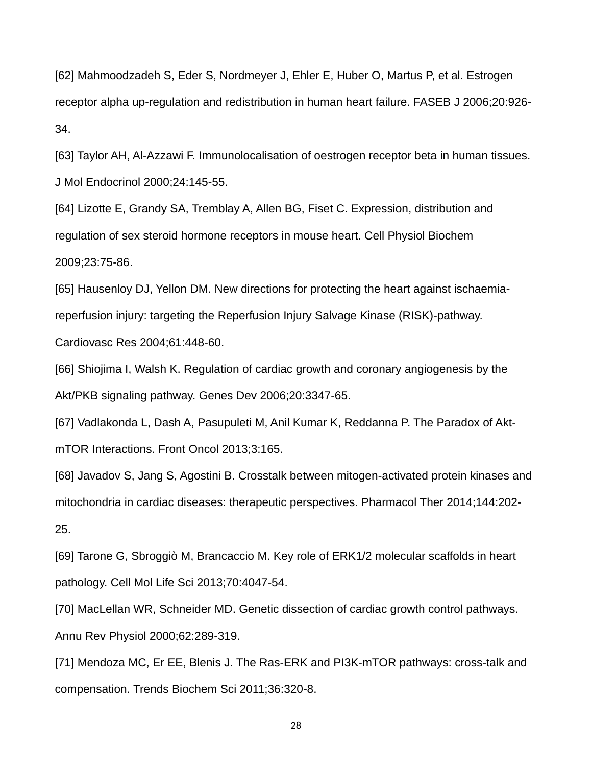[62] Mahmoodzadeh S, Eder S, Nordmeyer J, Ehler E, Huber O, Martus P, et al. Estrogen receptor alpha up-regulation and redistribution in human heart failure. FASEB J 2006;20:926- 34.

[63] Taylor AH, Al-Azzawi F. Immunolocalisation of oestrogen receptor beta in human tissues. J Mol Endocrinol 2000;24:145-55.

[64] Lizotte E, Grandy SA, Tremblay A, Allen BG, Fiset C. Expression, distribution and regulation of sex steroid hormone receptors in mouse heart. Cell Physiol Biochem 2009;23:75-86.

[65] Hausenloy DJ, Yellon DM. New directions for protecting the heart against ischaemiareperfusion injury: targeting the Reperfusion Injury Salvage Kinase (RISK)-pathway. Cardiovasc Res 2004;61:448-60.

[66] Shiojima I, Walsh K. Regulation of cardiac growth and coronary angiogenesis by the Akt/PKB signaling pathway. Genes Dev 2006;20:3347-65.

[67] Vadlakonda L, Dash A, Pasupuleti M, Anil Kumar K, Reddanna P. The Paradox of AktmTOR Interactions. Front Oncol 2013;3:165.

[68] Javadov S, Jang S, Agostini B. Crosstalk between mitogen-activated protein kinases and mitochondria in cardiac diseases: therapeutic perspectives. Pharmacol Ther 2014;144:202- 25.

[69] Tarone G, Sbroggiò M, Brancaccio M. Key role of ERK1/2 molecular scaffolds in heart pathology. Cell Mol Life Sci 2013;70:4047-54.

[70] MacLellan WR, Schneider MD. Genetic dissection of cardiac growth control pathways. Annu Rev Physiol 2000;62:289-319.

[71] Mendoza MC, Er EE, Blenis J. The Ras-ERK and PI3K-mTOR pathways: cross-talk and compensation. Trends Biochem Sci 2011;36:320-8.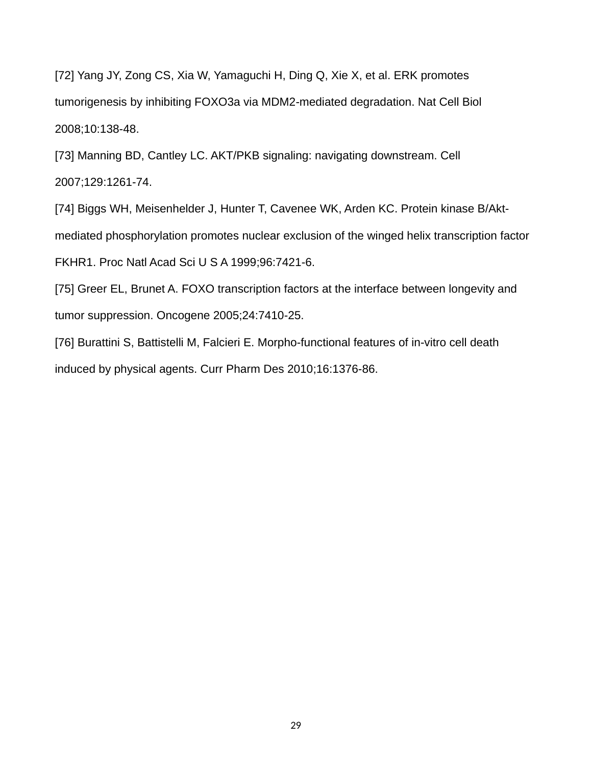[72] Yang JY, Zong CS, Xia W, Yamaguchi H, Ding Q, Xie X, et al. ERK promotes tumorigenesis by inhibiting FOXO3a via MDM2-mediated degradation. Nat Cell Biol 2008;10:138-48.

[73] Manning BD, Cantley LC. AKT/PKB signaling: navigating downstream. Cell 2007;129:1261-74.

[74] Biggs WH, Meisenhelder J, Hunter T, Cavenee WK, Arden KC. Protein kinase B/Aktmediated phosphorylation promotes nuclear exclusion of the winged helix transcription factor FKHR1. Proc Natl Acad Sci U S A 1999;96:7421-6.

[75] Greer EL, Brunet A. FOXO transcription factors at the interface between longevity and tumor suppression. Oncogene 2005;24:7410-25.

[76] Burattini S, Battistelli M, Falcieri E. Morpho-functional features of in-vitro cell death induced by physical agents. Curr Pharm Des 2010;16:1376-86.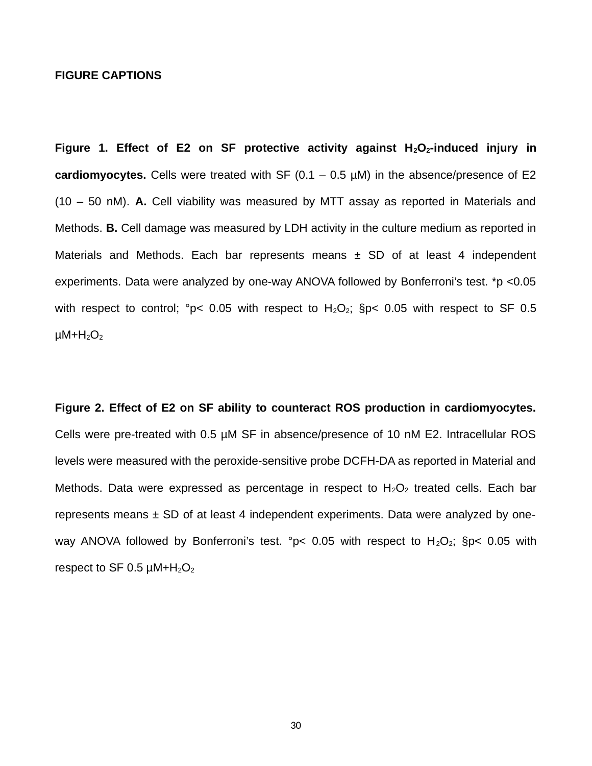## **FIGURE CAPTIONS**

**Figure 1. Effect of E2 on SF protective activity against H2O2-induced injury in cardiomyocytes.** Cells were treated with SF (0.1 – 0.5 µM) in the absence/presence of E2 (10 – 50 nM). **A.** Cell viability was measured by MTT assay as reported in Materials and Methods. **B.** Cell damage was measured by LDH activity in the culture medium as reported in Materials and Methods. Each bar represents means  $\pm$  SD of at least 4 independent experiments. Data were analyzed by one-way ANOVA followed by Bonferroni's test. \*p <0.05 with respect to control;  $\degree$ p< 0.05 with respect to H<sub>2</sub>O<sub>2</sub>; §p< 0.05 with respect to SF 0.5  $\mu$ M+H<sub>2</sub>O<sub>2</sub>

**Figure 2. Effect of E2 on SF ability to counteract ROS production in cardiomyocytes.** Cells were pre-treated with 0.5 µM SF in absence/presence of 10 nM E2. Intracellular ROS levels were measured with the peroxide-sensitive probe DCFH-DA as reported in Material and Methods. Data were expressed as percentage in respect to  $H_2O_2$  treated cells. Each bar represents means  $\pm$  SD of at least 4 independent experiments. Data were analyzed by oneway ANOVA followed by Bonferroni's test.  $\degree$ p< 0.05 with respect to H<sub>2</sub>O<sub>2</sub>; §p< 0.05 with respect to SF 0.5  $\mu$ M+H<sub>2</sub>O<sub>2</sub>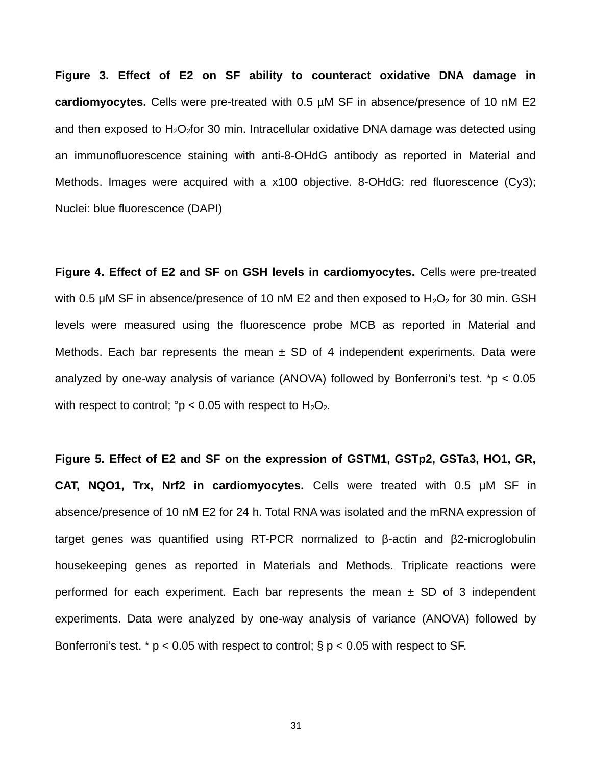**Figure 3. Effect of E2 on SF ability to counteract oxidative DNA damage in cardiomyocytes.** Cells were pre-treated with 0.5 µM SF in absence/presence of 10 nM E2 and then exposed to  $H_2O_2$  for 30 min. Intracellular oxidative DNA damage was detected using an immunofluorescence staining with anti-8-OHdG antibody as reported in Material and Methods. Images were acquired with a x100 objective. 8-OHdG: red fluorescence (Cy3); Nuclei: blue fluorescence (DAPI)

**Figure 4. Effect of E2 and SF on GSH levels in cardiomyocytes.** Cells were pre-treated with 0.5  $\mu$ M SF in absence/presence of 10 nM E2 and then exposed to H<sub>2</sub>O<sub>2</sub> for 30 min. GSH levels were measured using the fluorescence probe MCB as reported in Material and Methods. Each bar represents the mean  $\pm$  SD of 4 independent experiments. Data were analyzed by one-way analysis of variance (ANOVA) followed by Bonferroni's test.  $*p < 0.05$ with respect to control;  $\degree$ p < 0.05 with respect to H<sub>2</sub>O<sub>2</sub>.

**Figure 5. Effect of E2 and SF on the expression of GSTM1, GSTp2, GSTa3, HO1, GR, CAT, NQO1, Trx, Nrf2 in cardiomyocytes.** Cells were treated with 0.5 μM SF in absence/presence of 10 nM E2 for 24 h. Total RNA was isolated and the mRNA expression of target genes was quantified using RT-PCR normalized to β-actin and β2-microglobulin housekeeping genes as reported in Materials and Methods. Triplicate reactions were performed for each experiment. Each bar represents the mean ± SD of 3 independent experiments. Data were analyzed by one-way analysis of variance (ANOVA) followed by Bonferroni's test.  $* p < 0.05$  with respect to control;  $\S p < 0.05$  with respect to SF.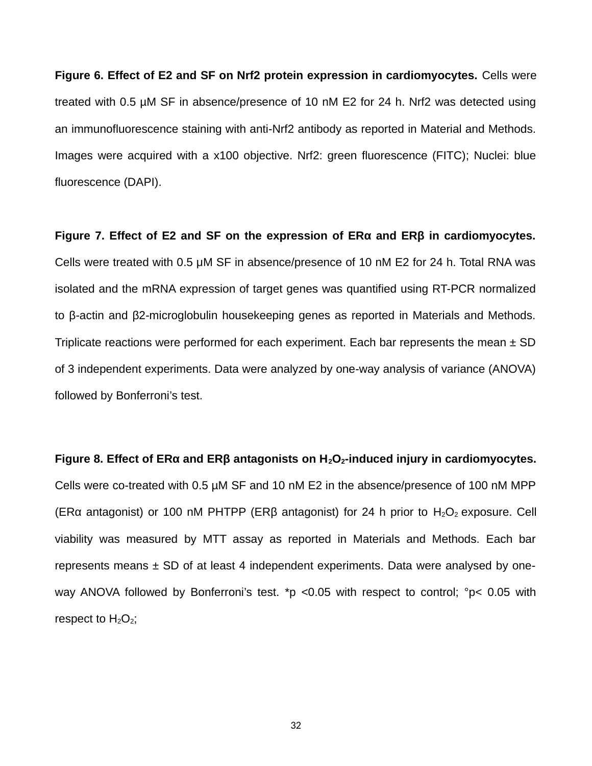**Figure 6. Effect of E2 and SF on Nrf2 protein expression in cardiomyocytes.** Cells were treated with 0.5 µM SF in absence/presence of 10 nM E2 for 24 h. Nrf2 was detected using an immunofluorescence staining with anti-Nrf2 antibody as reported in Material and Methods. Images were acquired with a x100 objective. Nrf2: green fluorescence (FITC); Nuclei: blue fluorescence (DAPI).

**Figure 7. Effect of E2 and SF on the expression of ERα and ERβ in cardiomyocytes.** Cells were treated with 0.5 μM SF in absence/presence of 10 nM E2 for 24 h. Total RNA was isolated and the mRNA expression of target genes was quantified using RT-PCR normalized to β-actin and β2-microglobulin housekeeping genes as reported in Materials and Methods. Triplicate reactions were performed for each experiment. Each bar represents the mean  $\pm$  SD of 3 independent experiments. Data were analyzed by one-way analysis of variance (ANOVA) followed by Bonferroni's test.

**Figure 8. Effect of ERα and ERβ antagonists on H2O2-induced injury in cardiomyocytes.** Cells were co-treated with 0.5 µM SF and 10 nM E2 in the absence/presence of 100 nM MPP (ER $\alpha$  antagonist) or 100 nM PHTPP (ER $\beta$  antagonist) for 24 h prior to H<sub>2</sub>O<sub>2</sub> exposure. Cell viability was measured by MTT assay as reported in Materials and Methods. Each bar represents means  $\pm$  SD of at least 4 independent experiments. Data were analysed by oneway ANOVA followed by Bonferroni's test. \*p <0.05 with respect to control; °p< 0.05 with respect to  $H_2O_2$ ;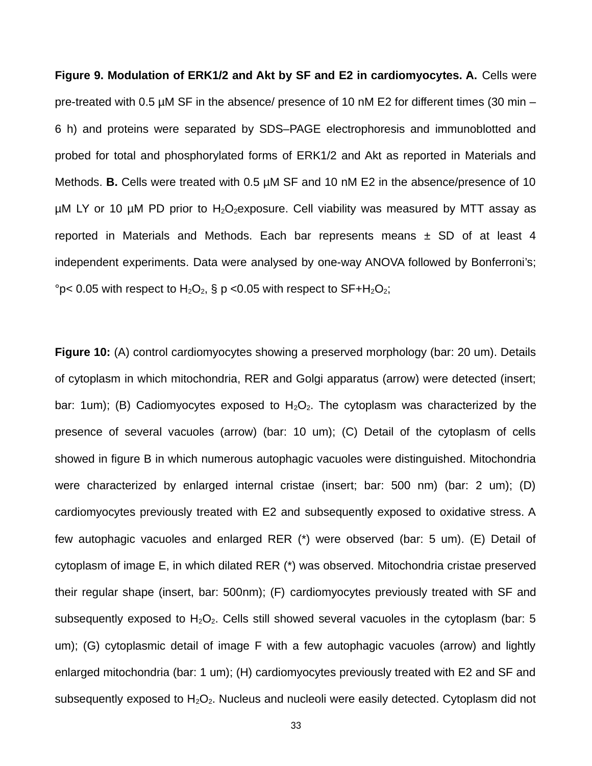**Figure 9. Modulation of ERK1/2 and Akt by SF and E2 in cardiomyocytes. A.** Cells were pre-treated with 0.5 µM SF in the absence/ presence of 10 nM E2 for different times (30 min – 6 h) and proteins were separated by SDS–PAGE electrophoresis and immunoblotted and probed for total and phosphorylated forms of ERK1/2 and Akt as reported in Materials and Methods. **B.** Cells were treated with 0.5 µM SF and 10 nM E2 in the absence/presence of 10  $\mu$ M LY or 10  $\mu$ M PD prior to H<sub>2</sub>O<sub>2</sub>exposure. Cell viability was measured by MTT assay as reported in Materials and Methods. Each bar represents means ± SD of at least 4 independent experiments. Data were analysed by one-way ANOVA followed by Bonferroni's;  $\degree$ p< 0.05 with respect to H<sub>2</sub>O<sub>2</sub>, § p < 0.05 with respect to SF+H<sub>2</sub>O<sub>2</sub>;

**Figure 10:** (A) control cardiomyocytes showing a preserved morphology (bar: 20 um). Details of cytoplasm in which mitochondria, RER and Golgi apparatus (arrow) were detected (insert; bar: 1um); (B) Cadiomyocytes exposed to  $H_2O_2$ . The cytoplasm was characterized by the presence of several vacuoles (arrow) (bar: 10 um); (C) Detail of the cytoplasm of cells showed in figure B in which numerous autophagic vacuoles were distinguished. Mitochondria were characterized by enlarged internal cristae (insert; bar: 500 nm) (bar: 2 um); (D) cardiomyocytes previously treated with E2 and subsequently exposed to oxidative stress. A few autophagic vacuoles and enlarged RER (\*) were observed (bar: 5 um). (E) Detail of cytoplasm of image E, in which dilated RER (\*) was observed. Mitochondria cristae preserved their regular shape (insert, bar: 500nm); (F) cardiomyocytes previously treated with SF and subsequently exposed to  $H_2O_2$ . Cells still showed several vacuoles in the cytoplasm (bar: 5 um); (G) cytoplasmic detail of image F with a few autophagic vacuoles (arrow) and lightly enlarged mitochondria (bar: 1 um); (H) cardiomyocytes previously treated with E2 and SF and subsequently exposed to  $H_2O_2$ . Nucleus and nucleoli were easily detected. Cytoplasm did not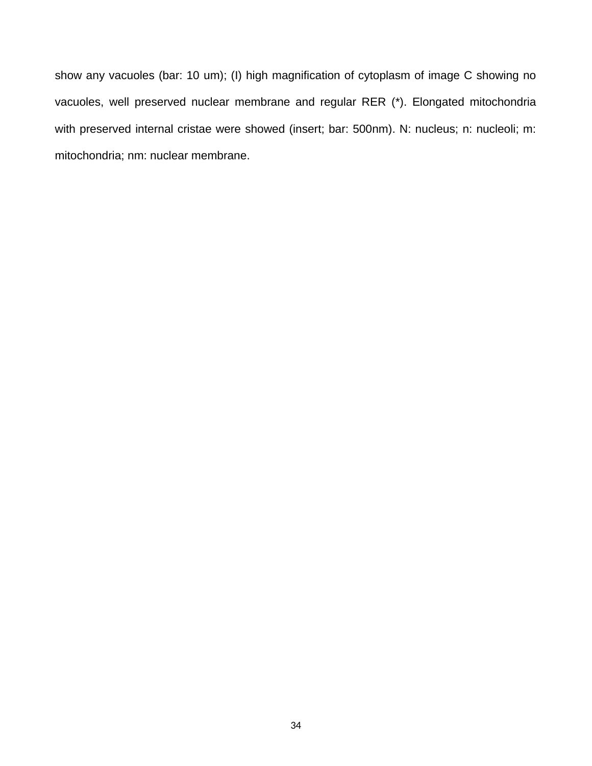show any vacuoles (bar: 10 um); (I) high magnification of cytoplasm of image C showing no vacuoles, well preserved nuclear membrane and regular RER (\*). Elongated mitochondria with preserved internal cristae were showed (insert; bar: 500nm). N: nucleus; n: nucleoli; m: mitochondria; nm: nuclear membrane.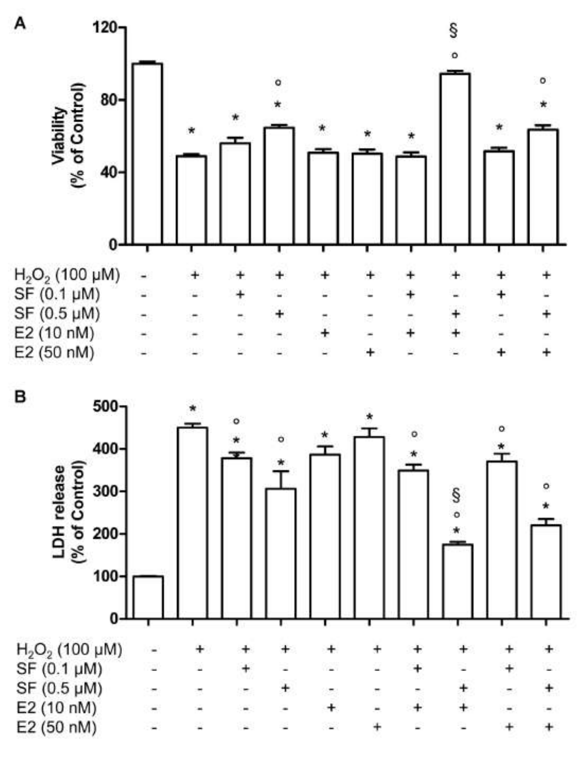

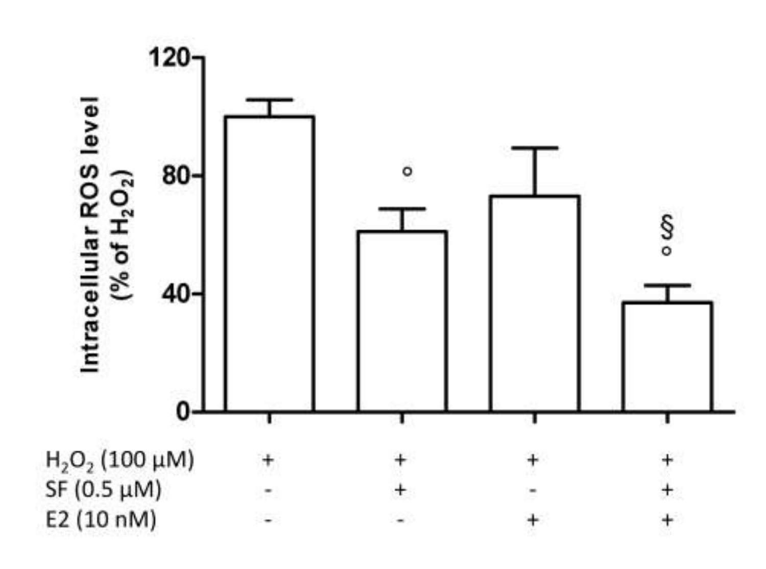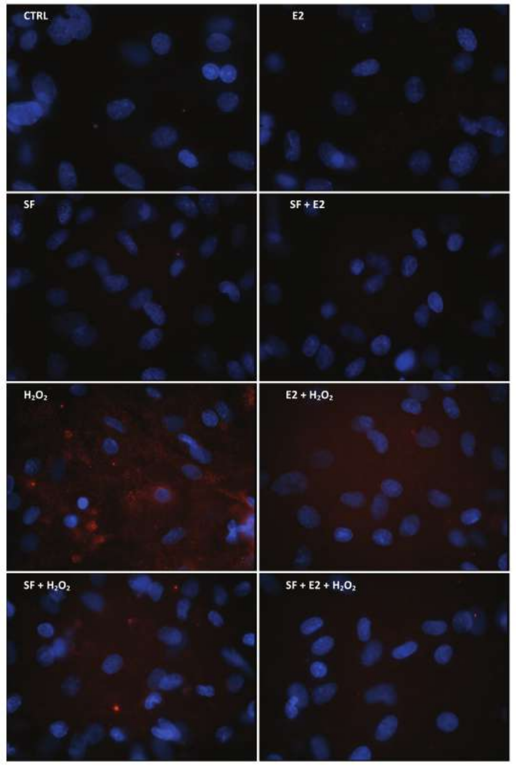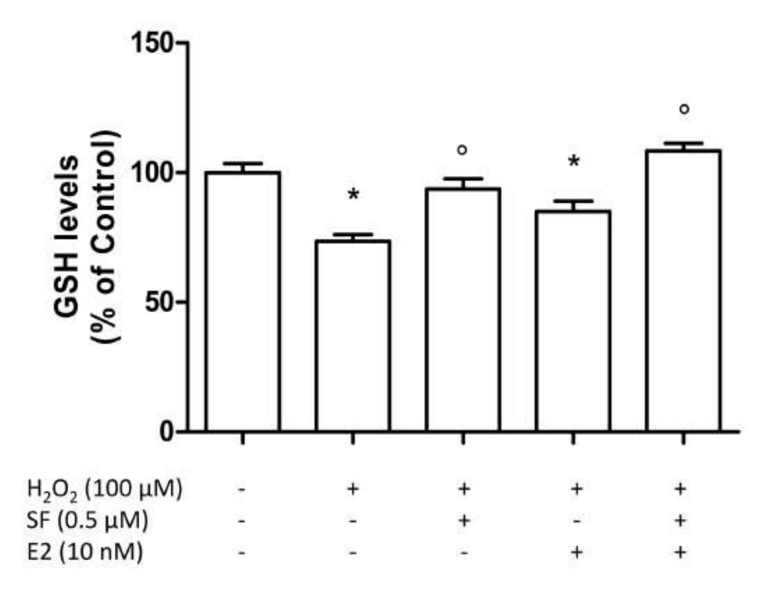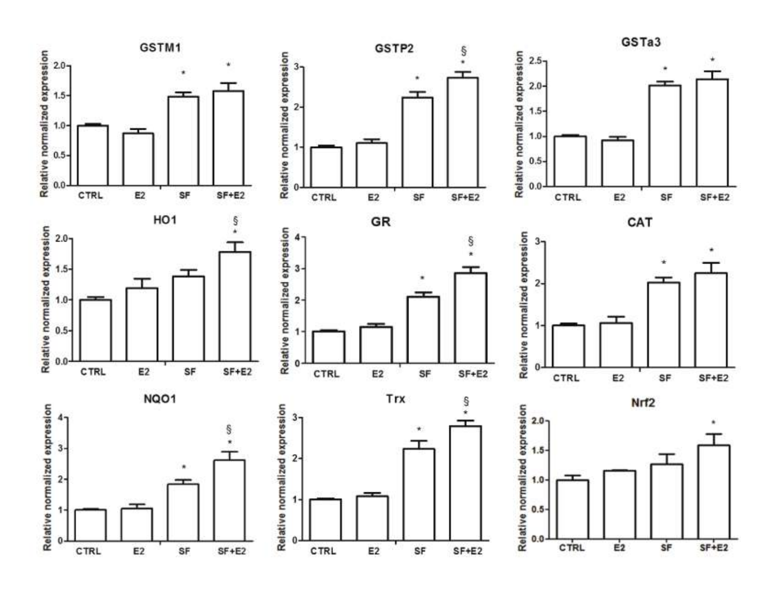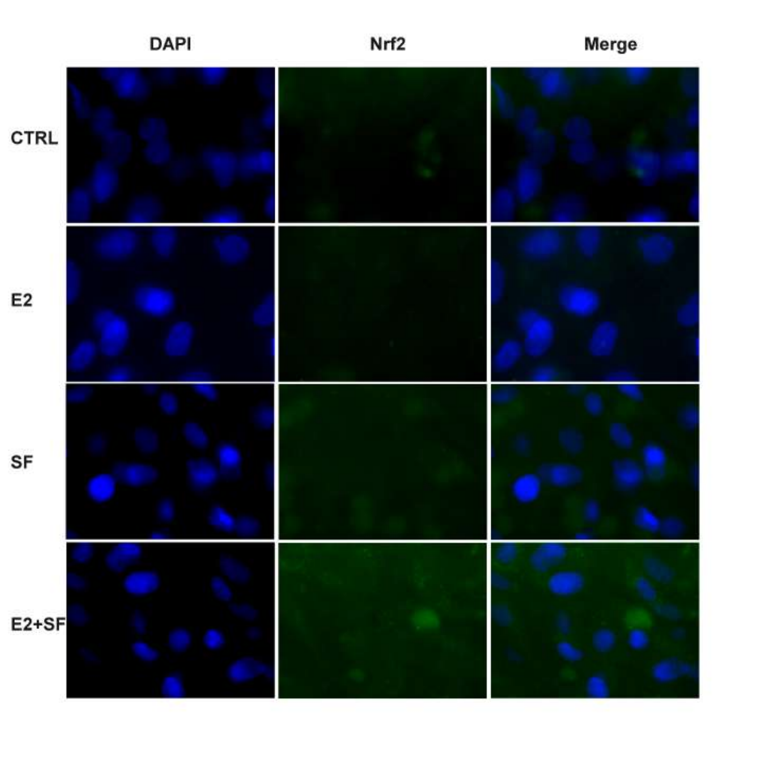|       | <b>DAPI</b> | Nrf2 | Merge |
|-------|-------------|------|-------|
| CTRL  |             |      |       |
| E2    |             |      |       |
| SF    |             |      |       |
| E2+SF |             |      |       |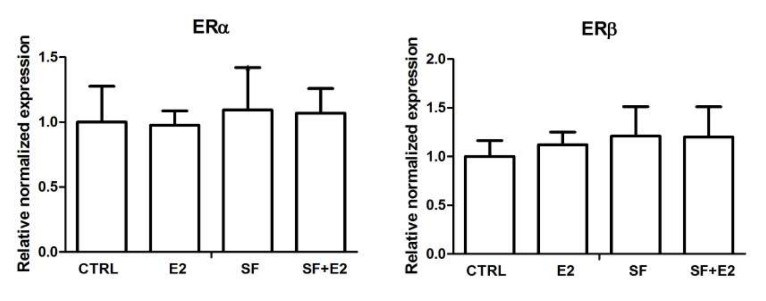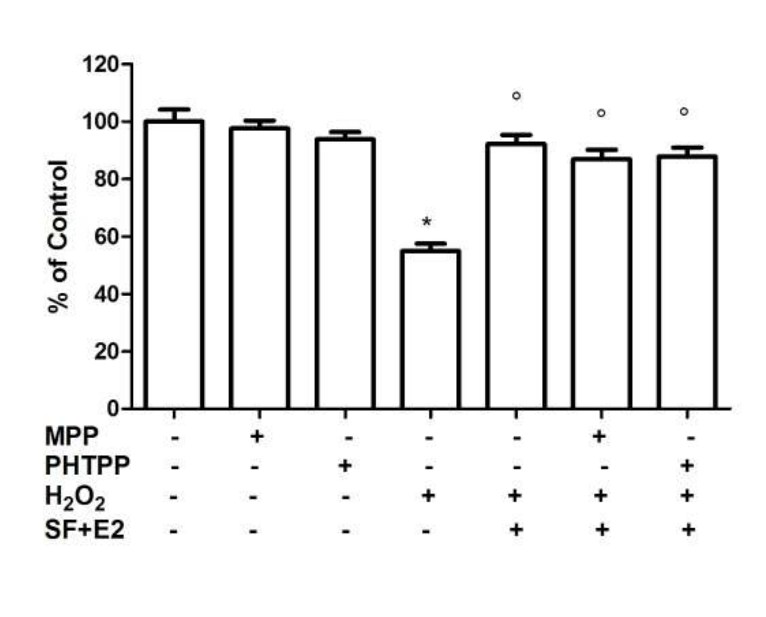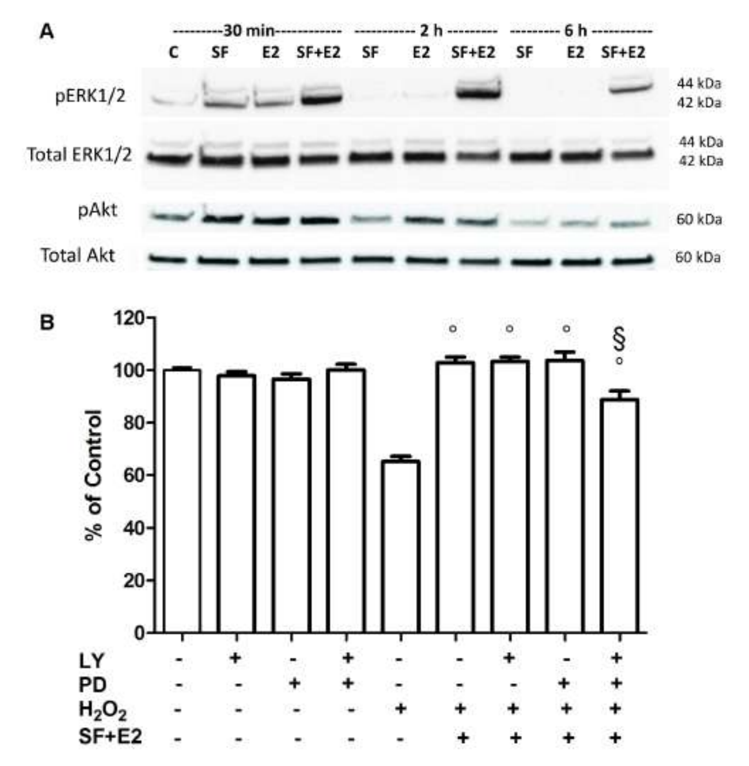